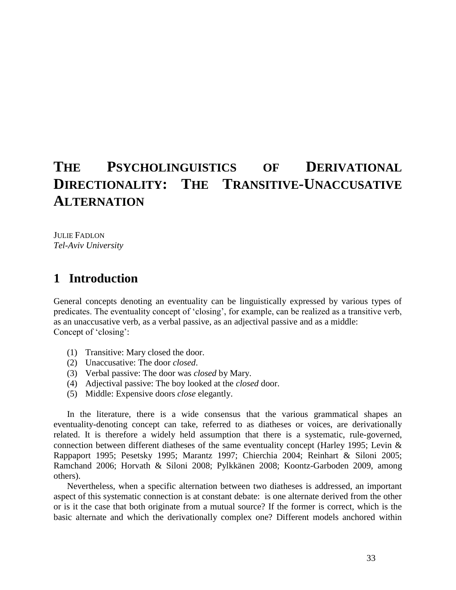# **THE PSYCHOLINGUISTICS OF DERIVATIONAL DIRECTIONALITY: THE TRANSITIVE-UNACCUSATIVE ALTERNATION**

JULIE FADLON *Tel-Aviv University* 

## **1** Introduction

General concepts denoting an eventuality can be linguistically expressed by various types of predicates. The eventuality concept of 'closing', for example, can be realized as a transitive verb, as an unaccusative verb, as a verbal passive, as an adjectival passive and as a middle: Concept of 'closing':

- (1) Transitive: Mary closed the door.
- (2) Unaccusative: The door *closed*.
- (3) Verbal passive: The door was *closed* by Mary.
- (4) Adjectival passive: The boy looked at the *closed* door.
- (5) Middle: Expensive doors *close* elegantly.

In the literature, there is a wide consensus that the various grammatical shapes an eventuality-denoting concept can take, referred to as diatheses or voices, are derivationally related. It is therefore a widely held assumption that there is a systematic, rule-governed, connection between different diatheses of the same eventuality concept (Harley 1995; Levin & Rappaport 1995; Pesetsky 1995; Marantz 1997; Chierchia 2004; Reinhart & Siloni 2005; Ramchand 2006; Horvath & Siloni 2008; Pylkkänen 2008; Koontz-Garboden 2009, among others).

Nevertheless, when a specific alternation between two diatheses is addressed, an important aspect of this systematic connection is at constant debate: is one alternate derived from the other or is it the case that both originate from a mutual source? If the former is correct, which is the basic alternate and which the derivationally complex one? Different models anchored within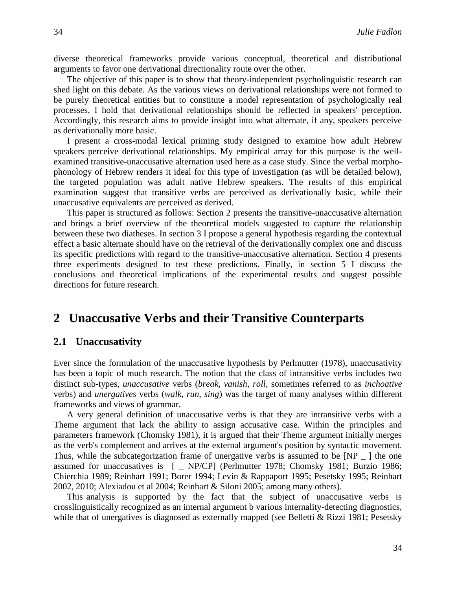diverse theoretical frameworks provide various conceptual, theoretical and distributional arguments to favor one derivational directionality route over the other.

The objective of this paper is to show that theory-independent psycholinguistic research can shed light on this debate. As the various views on derivational relationships were not formed to be purely theoretical entities but to constitute a model representation of psychologically real processes, I hold that derivational relationships should be reflected in speakers' perception. Accordingly, this research aims to provide insight into what alternate, if any, speakers perceive as derivationally more basic.

I present a cross-modal lexical priming study designed to examine how adult Hebrew speakers perceive derivational relationships. My empirical array for this purpose is the wellexamined transitive-unaccusative alternation used here as a case study. Since the verbal morphophonology of Hebrew renders it ideal for this type of investigation (as will be detailed below), the targeted population was adult native Hebrew speakers. The results of this empirical examination suggest that transitive verbs are perceived as derivationally basic, while their unaccusative equivalents are perceived as derived.

This paper is structured as follows: Section 2 presents the transitive-unaccusative alternation and brings a brief overview of the theoretical models suggested to capture the relationship between these two diatheses. In section 3 I propose a general hypothesis regarding the contextual effect a basic alternate should have on the retrieval of the derivationally complex one and discuss its specific predictions with regard to the transitive-unaccusative alternation. Section 4 presents three experiments designed to test these predictions. Finally, in section 5 I discuss the conclusions and theoretical implications of the experimental results and suggest possible directions for future research.

## 2 Unaccusative Verbs and their Transitive Counterparts

### **2.1** Unaccusativity

Ever since the formulation of the unaccusative hypothesis by Perlmutter (1978), unaccusativity has been a topic of much research. The notion that the class of intransitive verbs includes two distinct sub-types, *unaccusative* verbs (*break*, *vanish*, *roll*, sometimes referred to as *inchoative*  verbs) and *unergatives* verbs (*walk*, *run*, *sing*) was the target of many analyses within different frameworks and views of grammar.

A very general definition of unaccusative verbs is that they are intransitive verbs with a Theme argument that lack the ability to assign accusative case. Within the principles and parameters framework (Chomsky 1981), it is argued that their Theme argument initially merges as the verb's complement and arrives at the external argument's position by syntactic movement. Thus, while the subcategorization frame of unergative verbs is assumed to be [NP \_ ] the one assumed for unaccusatives is [ \_ NP/CP] (Perlmutter 1978; Chomsky 1981; Burzio 1986; Chierchia 1989; Reinhart 1991; Borer 1994; Levin & Rappaport 1995; Pesetsky 1995; Reinhart 2002, 2010; Alexiadou et al 2004; Reinhart & Siloni 2005; among many others).

This analysis is supported by the fact that the subject of unaccusative verbs is crosslinguistically recognized as an internal argument b various internality-detecting diagnostics, while that of unergatives is diagnosed as externally mapped (see Belletti & Rizzi 1981; Pesetsky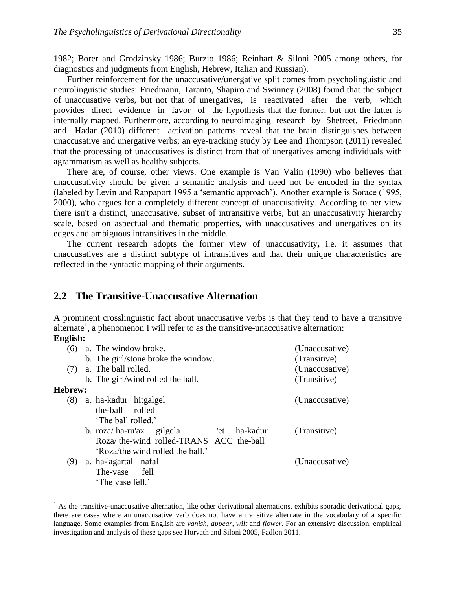1982; Borer and Grodzinsky 1986; Burzio 1986; Reinhart & Siloni 2005 among others, for diagnostics and judgments from English, Hebrew, Italian and Russian).

Further reinforcement for the unaccusative/unergative split comes from psycholinguistic and neurolinguistic studies: Friedmann, Taranto, Shapiro and Swinney (2008) found that the subject of unaccusative verbs, but not that of unergatives, is reactivated after the verb, which provides direct evidence in favor of the hypothesis that the former, but not the latter is internally mapped. Furthermore, according to neuroimaging research by Shetreet, Friedmann and Hadar (2010) different activation patterns reveal that the brain distinguishes between unaccusative and unergative verbs; an eye-tracking study by Lee and Thompson (2011) revealed that the processing of unaccusatives is distinct from that of unergatives among individuals with agrammatism as well as healthy subjects.

There are, of course, other views. One example is Van Valin (1990) who believes that unaccusativity should be given a semantic analysis and need not be encoded in the syntax (labeled by Levin and Rappaport 1995 a 'semantic approach'). Another example is Sorace (1995, 2000), who argues for a completely different concept of unaccusativity. According to her view there isn't a distinct, unaccusative, subset of intransitive verbs, but an unaccusativity hierarchy scale, based on aspectual and thematic properties, with unaccusatives and unergatives on its edges and ambiguous intransitives in the middle.

The current research adopts the former view of unaccusativity**,** i.e. it assumes that unaccusatives are a distinct subtype of intransitives and that their unique characteristics are reflected in the syntactic mapping of their arguments.

### **2.2**xx**The Transitive-Unaccusative Alternation**

 $\overline{a}$ 

A prominent crosslinguistic fact about unaccusative verbs is that they tend to have a transitive alternate<sup>1</sup>, a phenomenon I will refer to as the transitive-unaccusative alternation: **English:**

|                | $(6)$ a. The window broke.                  | (Unaccusative) |
|----------------|---------------------------------------------|----------------|
|                | b. The girl/stone broke the window.         | (Transitive)   |
| (7)            | a. The ball rolled.                         | (Unaccusative) |
|                | b. The girl/wind rolled the ball.           | (Transitive)   |
| <b>Hebrew:</b> |                                             |                |
|                | (8) a. ha-kadur hitgalgel                   | (Unaccusative) |
|                | the-ball rolled                             |                |
|                | 'The ball rolled.'                          |                |
|                | ha-kadur<br>b. roza/ha-ru'ax gilgela<br>'et | (Transitive)   |
|                | Roza/ the-wind rolled-TRANS ACC the-ball    |                |
|                | 'Roza/the wind rolled the ball.'            |                |
| (9)            | a. ha-'agartal nafal                        | (Unaccusative) |
|                | fell<br>The-vase                            |                |
|                | 'The vase fell.'                            |                |
|                |                                             |                |

 $<sup>1</sup>$  As the transitive-unaccusative alternation, like other derivational alternations, exhibits sporadic derivational gaps,</sup> there are cases where an unaccusative verb does not have a transitive alternate in the vocabulary of a specific language. Some examples from English are *vanish*, *appear*, *wilt* and *flower*. For an extensive discussion, empirical investigation and analysis of these gaps see Horvath and Siloni 2005, Fadlon 2011.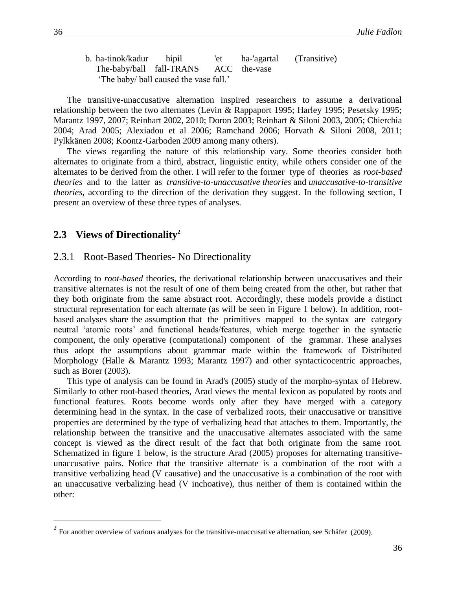b. ha-tinok/kadur hipil 'et ha-'agartal (Transitive) The-baby/ball fall-TRANS ACC the-vase 'The baby/ ball caused the vase fall.'

The transitive-unaccusative alternation inspired researchers to assume a derivational relationship between the two alternates (Levin & Rappaport 1995; Harley 1995; Pesetsky 1995; Marantz 1997, 2007; Reinhart 2002, 2010; Doron 2003; Reinhart & Siloni 2003, 2005; Chierchia 2004; Arad 2005; Alexiadou et al 2006; Ramchand 2006; Horvath & Siloni 2008, 2011; Pylkkänen 2008; Koontz-Garboden 2009 among many others).

The views regarding the nature of this relationship vary. Some theories consider both alternates to originate from a third, abstract, linguistic entity, while others consider one of the alternates to be derived from the other. I will refer to the former type of theories as *root-based theories* and to the latter as *transitive-to-unaccusative theories* and *unaccusative-to-transitive theories*, according to the direction of the derivation they suggest. In the following section, I present an overview of these three types of analyses.

### 2.3 Views of Directionality<sup>2</sup>

### 2.3.1 Root-Based Theories- No Directionality

According to *root-based* theories, the derivational relationship between unaccusatives and their transitive alternates is not the result of one of them being created from the other, but rather that they both originate from the same abstract root. Accordingly, these models provide a distinct structural representation for each alternate (as will be seen in Figure 1 below). In addition, rootbased analyses share the assumption that the primitives mapped to the syntax are category neutral 'atomic roots' and functional heads/features, which merge together in the syntactic component, the only operative (computational) component of the grammar. These analyses thus adopt the assumptions about grammar made within the framework of Distributed Morphology (Halle & Marantz 1993; Marantz 1997) and other syntacticocentric approaches, such as Borer (2003).

This type of analysis can be found in Arad's (2005) study of the morpho-syntax of Hebrew. Similarly to other root-based theories, Arad views the mental lexicon as populated by roots and functional features. Roots become words only after they have merged with a category determining head in the syntax. In the case of verbalized roots, their unaccusative or transitive properties are determined by the type of verbalizing head that attaches to them. Importantly, the relationship between the transitive and the unaccusative alternates associated with the same concept is viewed as the direct result of the fact that both originate from the same root. Schematized in figure 1 below, is the structure Arad (2005) proposes for alternating transitiveunaccusative pairs. Notice that the transitive alternate is a combination of the root with a transitive verbalizing head (V causative) and the unaccusative is a combination of the root with an unaccusative verbalizing head (V inchoative), thus neither of them is contained within the other:

 $\overline{a}$ 

<sup>&</sup>lt;sup>2</sup> For another overview of various analyses for the transitive-unaccusative alternation, see Schäfer (2009).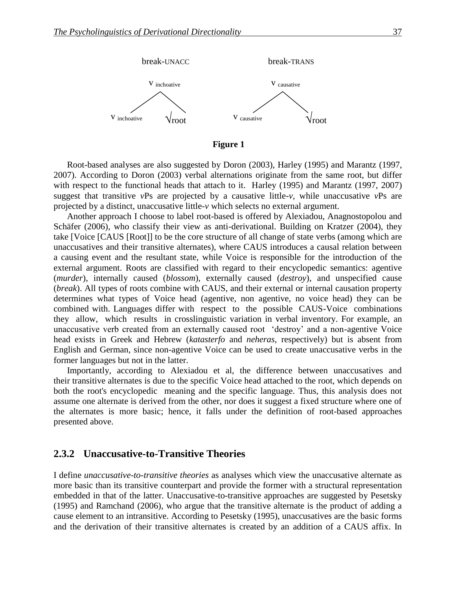

**Figure 1**

Root-based analyses are also suggested by Doron (2003), Harley (1995) and Marantz (1997, 2007). According to Doron (2003) verbal alternations originate from the same root, but differ with respect to the functional heads that attach to it. Harley (1995) and Marantz (1997, 2007) suggest that transitive *v*Ps are projected by a causative little-*v,* while unaccusative *v*Ps are projected by a distinct, unaccusative little-*v* which selects no external argument.

Another approach I choose to label root-based is offered by Alexiadou, Anagnostopolou and Schäfer (2006), who classify their view as anti-derivational. Building on Kratzer (2004), they take [Voice [CAUS [Root]] to be the core structure of all change of state verbs (among which are unaccusatives and their transitive alternates), where CAUS introduces a causal relation between a causing event and the resultant state, while Voice is responsible for the introduction of the external argument. Roots are classified with regard to their encyclopedic semantics: agentive (*murder*), internally caused (*blossom*), externally caused (*destroy*), and unspecified cause (*break*). All types of roots combine with CAUS, and their external or internal causation property determines what types of Voice head (agentive, non agentive, no voice head) they can be combined with. Languages differ with respect to the possible CAUS-Voice combinations they allow, which results in crosslinguistic variation in verbal inventory. For example, an unaccusative verb created from an externally caused root 'destroy' and a non-agentive Voice head exists in Greek and Hebrew (*katasterfo* and *neheras*, respectively) but is absent from English and German, since non-agentive Voice can be used to create unaccusative verbs in the former languages but not in the latter.

Importantly, according to Alexiadou et al, the difference between unaccusatives and their transitive alternates is due to the specific Voice head attached to the root, which depends on both the root's encyclopedic meaning and the specific language. Thus, this analysis does not assume one alternate is derived from the other, nor does it suggest a fixed structure where one of the alternates is more basic; hence, it falls under the definition of root-based approaches presented above.

### **2.3.2**xx**Unaccusative-to-Transitive Theories**

I define *unaccusative-to-transitive theories* as analyses which view the unaccusative alternate as more basic than its transitive counterpart and provide the former with a structural representation embedded in that of the latter. Unaccusative-to-transitive approaches are suggested by Pesetsky (1995) and Ramchand (2006), who argue that the transitive alternate is the product of adding a cause element to an intransitive. According to Pesetsky (1995), unaccusatives are the basic forms and the derivation of their transitive alternates is created by an addition of a CAUS affix. In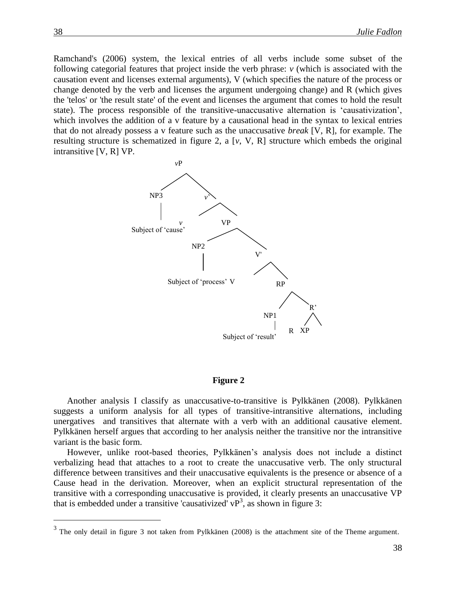Ramchand's (2006) system, the lexical entries of all verbs include some subset of the following categorial features that project inside the verb phrase: *v* (which is associated with the causation event and licenses external arguments), V (which specifies the nature of the process or change denoted by the verb and licenses the argument undergoing change) and R (which gives the 'telos' or 'the result state' of the event and licenses the argument that comes to hold the result state). The process responsible of the transitive-unaccusative alternation is 'causativization', which involves the addition of a v feature by a causational head in the syntax to lexical entries that do not already possess a v feature such as the unaccusative *break* [V, R], for example. The resulting structure is schematized in figure 2, a [*v*, V, R] structure which embeds the original intransitive [V, R] VP.



#### **Figure 2**

Another analysis I classify as unaccusative-to-transitive is Pylkkänen (2008). Pylkkänen suggests a uniform analysis for all types of transitive-intransitive alternations, including unergatives and transitives that alternate with a verb with an additional causative element. Pylkkänen herself argues that according to her analysis neither the transitive nor the intransitive variant is the basic form.

However, unlike root-based theories, Pylkkänen's analysis does not include a distinct verbalizing head that attaches to a root to create the unaccusative verb. The only structural difference between transitives and their unaccusative equivalents is the presence or absence of a Cause head in the derivation. Moreover, when an explicit structural representation of the transitive with a corresponding unaccusative is provided, it clearly presents an unaccusative VP that is embedded under a transitive 'causativized'  $vP<sup>3</sup>$ , as shown in figure 3:

 $\overline{a}$ 

 $3$  The only detail in figure 3 not taken from Pylkkänen (2008) is the attachment site of the Theme argument.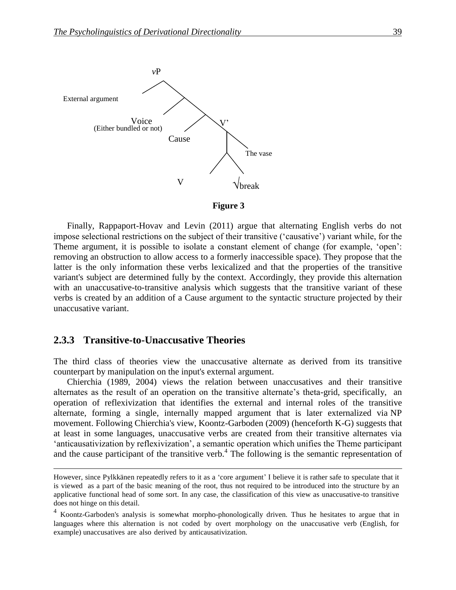

**Figure 3**

Finally, Rappaport-Hovav and Levin (2011) argue that alternating English verbs do not impose selectional restrictions on the subject of their transitive ('causative') variant while, for the Theme argument, it is possible to isolate a constant element of change (for example, 'open': removing an obstruction to allow access to a formerly inaccessible space). They propose that the latter is the only information these verbs lexicalized and that the properties of the transitive variant's subject are determined fully by the context. Accordingly, they provide this alternation with an unaccusative-to-transitive analysis which suggests that the transitive variant of these verbs is created by an addition of a Cause argument to the syntactic structure projected by their unaccusative variant.

### **2.3.3**xx**Transitive-to-Unaccusative Theories**

 $\overline{a}$ 

The third class of theories view the unaccusative alternate as derived from its transitive counterpart by manipulation on the input's external argument.

Chierchia (1989, 2004) views the relation between unaccusatives and their transitive alternates as the result of an operation on the transitive alternate's theta-grid, specifically, an operation of reflexivization that identifies the external and internal roles of the transitive alternate, forming a single, internally mapped argument that is later externalized via NP movement. Following Chierchia's view, Koontz-Garboden (2009) (henceforth K-G) suggests that at least in some languages, unaccusative verbs are created from their transitive alternates via 'anticausativization by reflexivization', a semantic operation which unifies the Theme participant and the cause participant of the transitive verb. $4$  The following is the semantic representation of

However, since Pylkkänen repeatedly refers to it as a 'core argument' I believe it is rather safe to speculate that it is viewed as a part of the basic meaning of the root, thus not required to be introduced into the structure by an applicative functional head of some sort. In any case, the classification of this view as unaccusative-to transitive does not hinge on this detail.

<sup>&</sup>lt;sup>4</sup> Koontz-Garboden's analysis is somewhat morpho-phonologically driven. Thus he hesitates to argue that in languages where this alternation is not coded by overt morphology on the unaccusative verb (English, for example) unaccusatives are also derived by anticausativization.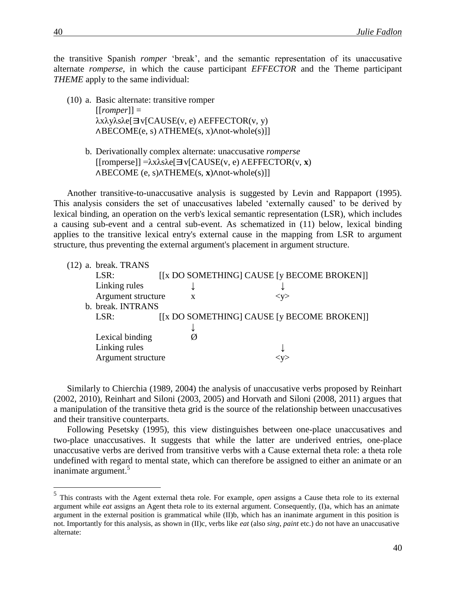the transitive Spanish *romper* 'break', and the semantic representation of its unaccusative alternate *romperse*, in which the cause participant *EFFECTOR* and the Theme participant *THEME* apply to the same individual:

- (10) a. Basic alternate: transitive romper [[*romper*]] = λxλyλsλe[∃v[CAUSE(v, e) <sup>∧</sup>EFFECTOR(v, y) ∧BECOME(e, s) ∧THEME(s, x)∧not-whole(s)]]
	- b. Derivationally complex alternate: unaccusative *romperse* [[romperse]] =λxλsλe[∃v[CAUSE(v, e) ∧EFFECTOR(v, **<sup>x</sup>**) ∧BECOME (e, s)∧THEME(s, **x**)∧not-whole(s)]]

Another transitive-to-unaccusative analysis is suggested by Levin and Rappaport (1995). This analysis considers the set of unaccusatives labeled 'externally caused' to be derived by lexical binding, an operation on the verb's lexical semantic representation (LSR), which includes a causing sub-event and a central sub-event. As schematized in (11) below, lexical binding applies to the transitive lexical entry's external cause in the mapping from LSR to argument structure, thus preventing the external argument's placement in argument structure.

| $(12)$ a. break. TRANS |              |           |                                            |
|------------------------|--------------|-----------|--------------------------------------------|
| LSR:                   |              |           | [[x DO SOMETHING] CAUSE [y BECOME BROKEN]] |
| Linking rules          |              |           |                                            |
| Argument structure     | $\mathbf{x}$ | $<$ y $>$ |                                            |
| b. break. INTRANS      |              |           |                                            |
| LSR:                   |              |           | [[x DO SOMETHING] CAUSE [y BECOME BROKEN]] |
|                        |              |           |                                            |
| Lexical binding        |              |           |                                            |
| Linking rules          |              |           |                                            |
| Argument structure     |              |           |                                            |

Similarly to Chierchia (1989, 2004) the analysis of unaccusative verbs proposed by Reinhart (2002, 2010), Reinhart and Siloni (2003, 2005) and Horvath and Siloni (2008, 2011) argues that a manipulation of the transitive theta grid is the source of the relationship between unaccusatives and their transitive counterparts.

Following Pesetsky (1995), this view distinguishes between one-place unaccusatives and two-place unaccusatives. It suggests that while the latter are underived entries, one-place unaccusative verbs are derived from transitive verbs with a Cause external theta role: a theta role undefined with regard to mental state, which can therefore be assigned to either an animate or an inanimate argument.<sup>5</sup>

 5 This contrasts with the Agent external theta role. For example, *open* assigns a Cause theta role to its external argument while *eat* assigns an Agent theta role to its external argument. Consequently, (I)a, which has an animate argument in the external position is grammatical while (II)b, which has an inanimate argument in this position is not. Importantly for this analysis, as shown in (II)c, verbs like *eat* (also *sing*, *paint* etc.) do not have an unaccusative alternate: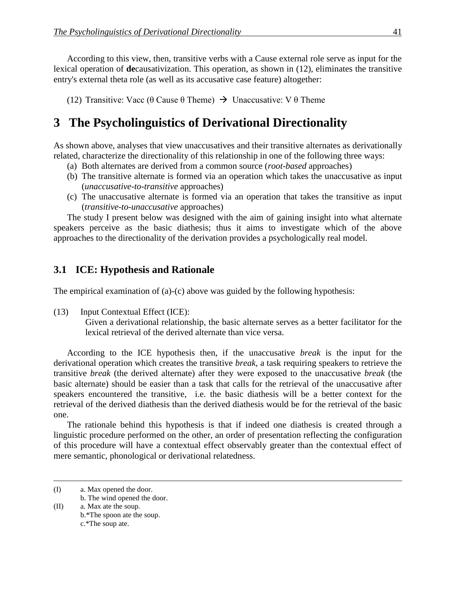According to this view, then, transitive verbs with a Cause external role serve as input for the lexical operation of **de**causativization. This operation, as shown in (12), eliminates the transitive entry's external theta role (as well as its accusative case feature) altogether:

(12) Transitive: Vacc (θ Cause θ Theme)  $\rightarrow$  Unaccusative: V θ Theme

# **3** The Psycholinguistics of Derivational Directionality

As shown above, analyses that view unaccusatives and their transitive alternates as derivationally related, characterize the directionality of this relationship in one of the following three ways:

- (a) Both alternates are derived from a common source (*root-based* approaches)
- (b) The transitive alternate is formed via an operation which takes the unaccusative as input (*unaccusative-to-transitive* approaches)
- (c) The unaccusative alternate is formed via an operation that takes the transitive as input (*transitive-to-unaccusative* approaches)

The study I present below was designed with the aim of gaining insight into what alternate speakers perceive as the basic diathesis; thus it aims to investigate which of the above approaches to the directionality of the derivation provides a psychologically real model.

## **3.1 ICE: Hypothesis and Rationale**

The empirical examination of (a)-(c) above was guided by the following hypothesis:

(13) Input Contextual Effect (ICE):

Given a derivational relationship, the basic alternate serves as a better facilitator for the lexical retrieval of the derived alternate than vice versa.

According to the ICE hypothesis then, if the unaccusative *break* is the input for the derivational operation which creates the transitive *break*, a task requiring speakers to retrieve the transitive *break* (the derived alternate) after they were exposed to the unaccusative *break* (the basic alternate) should be easier than a task that calls for the retrieval of the unaccusative after speakers encountered the transitive, i.e. the basic diathesis will be a better context for the retrieval of the derived diathesis than the derived diathesis would be for the retrieval of the basic one.

The rationale behind this hypothesis is that if indeed one diathesis is created through a linguistic procedure performed on the other, an order of presentation reflecting the configuration of this procedure will have a contextual effect observably greater than the contextual effect of mere semantic, phonological or derivational relatedness.

 $\overline{a}$ 

<sup>(</sup>I) a. Max opened the door.

b. The wind opened the door.

<sup>(</sup>II) a. Max ate the soup. b.\*The spoon ate the soup. c.\*The soup ate.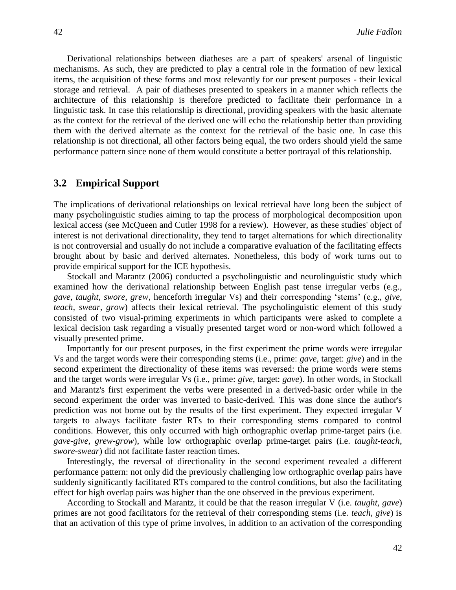Derivational relationships between diatheses are a part of speakers' arsenal of linguistic mechanisms. As such, they are predicted to play a central role in the formation of new lexical items, the acquisition of these forms and most relevantly for our present purposes - their lexical storage and retrieval. A pair of diatheses presented to speakers in a manner which reflects the architecture of this relationship is therefore predicted to facilitate their performance in a linguistic task. In case this relationship is directional, providing speakers with the basic alternate as the context for the retrieval of the derived one will echo the relationship better than providing them with the derived alternate as the context for the retrieval of the basic one. In case this relationship is not directional, all other factors being equal, the two orders should yield the same performance pattern since none of them would constitute a better portrayal of this relationship.

### **3.2** Empirical Support

The implications of derivational relationships on lexical retrieval have long been the subject of many psycholinguistic studies aiming to tap the process of morphological decomposition upon lexical access (see McQueen and Cutler 1998 for a review). However, as these studies' object of interest is not derivational directionality, they tend to target alternations for which directionality is not controversial and usually do not include a comparative evaluation of the facilitating effects brought about by basic and derived alternates. Nonetheless, this body of work turns out to provide empirical support for the ICE hypothesis.

Stockall and Marantz (2006) conducted a psycholinguistic and neurolinguistic study which examined how the derivational relationship between English past tense irregular verbs (e.g., *gave, taught, swore, grew*, henceforth irregular Vs) and their corresponding 'stems' (e.g., *give, teach, swear, grow*) affects their lexical retrieval. The psycholinguistic element of this study consisted of two visual-priming experiments in which participants were asked to complete a lexical decision task regarding a visually presented target word or non-word which followed a visually presented prime.

Importantly for our present purposes, in the first experiment the prime words were irregular Vs and the target words were their corresponding stems (i.e., prime: *gave*, target: *give*) and in the second experiment the directionality of these items was reversed: the prime words were stems and the target words were irregular Vs (i.e., prime: *give*, target: *gave*). In other words, in Stockall and Marantz's first experiment the verbs were presented in a derived-basic order while in the second experiment the order was inverted to basic-derived. This was done since the author's prediction was not borne out by the results of the first experiment. They expected irregular V targets to always facilitate faster RTs to their corresponding stems compared to control conditions. However, this only occurred with high orthographic overlap prime-target pairs (i.e. *gave-give*, *grew-grow*), while low orthographic overlap prime-target pairs (i.e. *taught-teach*, *swore-swear*) did not facilitate faster reaction times.

Interestingly, the reversal of directionality in the second experiment revealed a different performance pattern: not only did the previously challenging low orthographic overlap pairs have suddenly significantly facilitated RTs compared to the control conditions, but also the facilitating effect for high overlap pairs was higher than the one observed in the previous experiment.

According to Stockall and Marantz, it could be that the reason irregular V (i.e. *taught, gave*) primes are not good facilitators for the retrieval of their corresponding stems (i.e. *teach, give*) is that an activation of this type of prime involves, in addition to an activation of the corresponding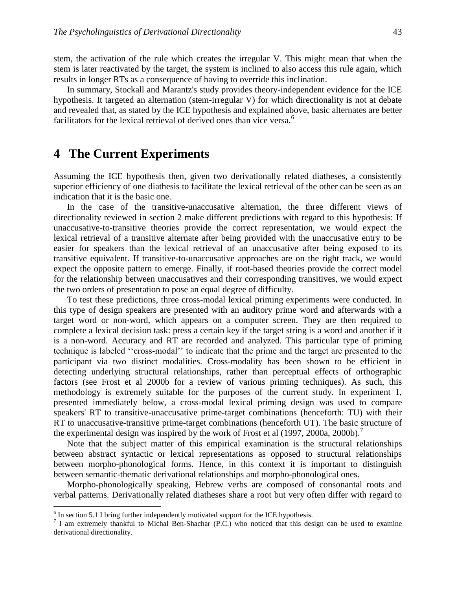stem, the activation of the rule which creates the irregular V. This might mean that when the stem is later reactivated by the target, the system is inclined to also access this rule again, which results in longer RTs as a consequence of having to override this inclination.

In summary, Stockall and Marantz's study provides theory-independent evidence for the ICE hypothesis. It targeted an alternation (stem-irregular V) for which directionality is not at debate and revealed that, as stated by the ICE hypothesis and explained above, basic alternates are better facilitators for the lexical retrieval of derived ones than vice versa.<sup>6</sup>

## **4** The Current Experiments

Assuming the ICE hypothesis then, given two derivationally related diatheses, a consistently superior efficiency of one diathesis to facilitate the lexical retrieval of the other can be seen as an indication that it is the basic one.

In the case of the transitive-unaccusative alternation, the three different views of directionality reviewed in section 2 make different predictions with regard to this hypothesis: If unaccusative-to-transitive theories provide the correct representation, we would expect the lexical retrieval of a transitive alternate after being provided with the unaccusative entry to be easier for speakers than the lexical retrieval of an unaccusative after being exposed to its transitive equivalent. If transitive-to-unaccusative approaches are on the right track, we would expect the opposite pattern to emerge. Finally, if root-based theories provide the correct model for the relationship between unaccusatives and their corresponding transitives, we would expect the two orders of presentation to pose an equal degree of difficulty.

To test these predictions, three cross-modal lexical priming experiments were conducted. In this type of design speakers are presented with an auditory prime word and afterwards with a target word or non-word, which appears on a computer screen. They are then required to complete a lexical decision task: press a certain key if the target string is a word and another if it is a non-word. Accuracy and RT are recorded and analyzed. This particular type of priming technique is labeled ''cross-modal'' to indicate that the prime and the target are presented to the participant via two distinct modalities. Cross-modality has been shown to be efficient in detecting underlying structural relationships, rather than perceptual effects of orthographic factors (see Frost et al 2000b for a review of various priming techniques). As such, this methodology is extremely suitable for the purposes of the current study. In experiment 1, presented immediately below, a cross-modal lexical priming design was used to compare speakers' RT to transitive-unaccusative prime-target combinations (henceforth: TU) with their RT to unaccusative-transitive prime-target combinations (henceforth UT). The basic structure of the experimental design was inspired by the work of Frost et al (1997, 2000a, 2000b).<sup>7</sup>

Note that the subject matter of this empirical examination is the structural relationships between abstract syntactic or lexical representations as opposed to structural relationships between morpho-phonological forms. Hence, in this context it is important to distinguish between semantic-thematic derivational relationships and morpho-phonological ones.

Morpho-phonologically speaking, Hebrew verbs are composed of consonantal roots and verbal patterns. Derivationally related diatheses share a root but very often differ with regard to

<sup>&</sup>lt;sup>6</sup> In section 5.1 I bring further independently motivated support for the ICE hypothesis.

<sup>&</sup>lt;sup>7</sup> I am extremely thankful to Michal Ben-Shachar (P.C.) who noticed that this design can be used to examine derivational directionality.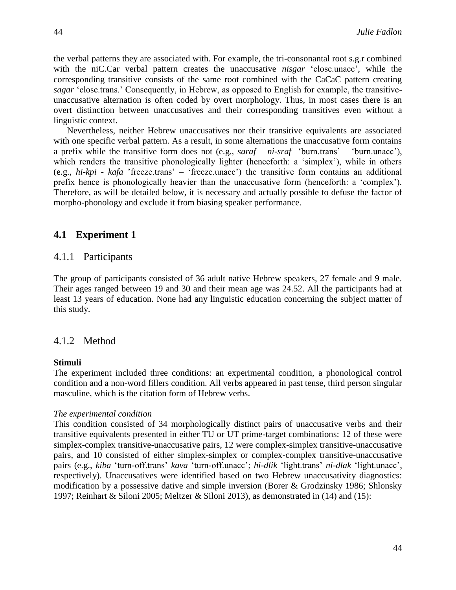the verbal patterns they are associated with. For example, the tri-consonantal root s.g.r combined with the niC.Car verbal pattern creates the unaccusative *nisgar* 'close.unacc'*,* while the corresponding transitive consists of the same root combined with the CaCaC pattern creating *sagar* 'close.trans.' Consequently, in Hebrew, as opposed to English for example, the transitiveunaccusative alternation is often coded by overt morphology. Thus, in most cases there is an overt distinction between unaccusatives and their corresponding transitives even without a linguistic context.

Nevertheless, neither Hebrew unaccusatives nor their transitive equivalents are associated with one specific verbal pattern. As a result, in some alternations the unaccusative form contains a prefix while the transitive form does not (e.g., *saraf – ni-sraf* 'burn.trans' – 'burn.unacc'), which renders the transitive phonologically lighter (henceforth: a 'simplex'), while in others (e.g., *hi-kpi - kafa* 'freeze.trans' – 'freeze.unacc') the transitive form contains an additional prefix hence is phonologically heavier than the unaccusative form (henceforth: a 'complex'). Therefore, as will be detailed below, it is necessary and actually possible to defuse the factor of morpho-phonology and exclude it from biasing speaker performance.

### **4.1**xx**Experiment 1**

#### 4.1.1 Participants

The group of participants consisted of 36 adult native Hebrew speakers, 27 female and 9 male. Their ages ranged between 19 and 30 and their mean age was 24.52. All the participants had at least 13 years of education. None had any linguistic education concerning the subject matter of this study.

#### 4.1.2 Method

#### **Stimuli**

The experiment included three conditions: an experimental condition, a phonological control condition and a non-word fillers condition. All verbs appeared in past tense, third person singular masculine, which is the citation form of Hebrew verbs.

#### *The experimental condition*

This condition consisted of 34 morphologically distinct pairs of unaccusative verbs and their transitive equivalents presented in either TU or UT prime-target combinations: 12 of these were simplex-complex transitive-unaccusative pairs, 12 were complex-simplex transitive-unaccusative pairs, and 10 consisted of either simplex-simplex or complex-complex transitive-unaccusative pairs (e.g., *kiba* 'turn-off.trans' *kava* 'turn-off.unacc'; *hi-dlik* 'light.trans' *ni-dlak* 'light.unacc', respectively). Unaccusatives were identified based on two Hebrew unaccusativity diagnostics: modification by a possessive dative and simple inversion (Borer & Grodzinsky 1986; Shlonsky 1997; Reinhart & Siloni 2005; Meltzer & Siloni 2013), as demonstrated in (14) and (15):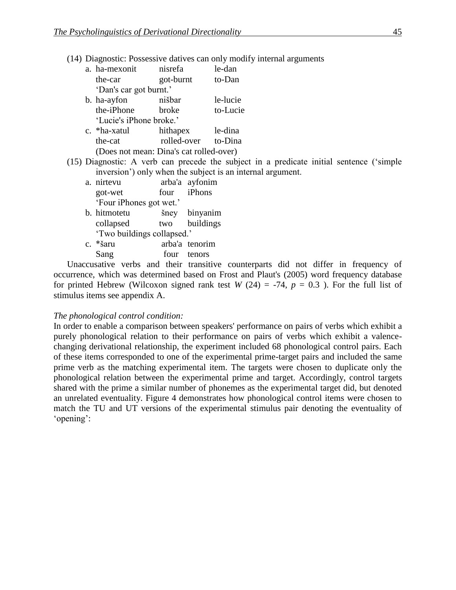(14) Diagnostic: Possessive datives can only modify internal arguments

|  |                                         |                    |           | $\frac{1}{2}$                                                                            |
|--|-----------------------------------------|--------------------|-----------|------------------------------------------------------------------------------------------|
|  | a. ha-mexonit nisrefa                   |                    |           | le-dan                                                                                   |
|  | the-car                                 | got-burnt          |           | to-Dan                                                                                   |
|  | 'Dan's car got burnt.'                  |                    |           |                                                                                          |
|  | b. ha-ayfon                             | nišbar             |           | le-lucie                                                                                 |
|  | the-iPhone broke                        |                    |           | to-Lucie                                                                                 |
|  | 'Lucie's iPhone broke.'                 |                    |           |                                                                                          |
|  | c. *ha-xatul hithapex le-dina           |                    |           |                                                                                          |
|  | the-cat                                 | rolled-over        |           | to-Dina                                                                                  |
|  | (Does not mean: Dina's cat rolled-over) |                    |           |                                                                                          |
|  |                                         |                    |           | (15) Diagnostic: A verb can precede the subject in a predicate initial sentence ('simple |
|  |                                         |                    |           | inversion') only when the subject is an internal argument.                               |
|  | a. nirtevu                              | arba'a ayfonim     |           |                                                                                          |
|  | got-wet                                 | four <i>iPhons</i> |           |                                                                                          |
|  | 'Four iPhones got wet.'                 |                    |           |                                                                                          |
|  | b. hitmotetu                            | šney               | binyanim  |                                                                                          |
|  | collapsed                               | two                | buildings |                                                                                          |
|  | 'Two buildings collapsed.'              |                    |           |                                                                                          |
|  | c. *šaru                                | arba'a tenorim     |           |                                                                                          |
|  | Sang                                    | four               | tenors    |                                                                                          |

Unaccusative verbs and their transitive counterparts did not differ in frequency of occurrence, which was determined based on Frost and Plaut's (2005) word frequency database for printed Hebrew (Wilcoxon signed rank test  $W(24) = -74$ ,  $p = 0.3$ ). For the full list of stimulus items see appendix A.

#### *The phonological control condition:*

In order to enable a comparison between speakers' performance on pairs of verbs which exhibit a purely phonological relation to their performance on pairs of verbs which exhibit a valencechanging derivational relationship, the experiment included 68 phonological control pairs. Each of these items corresponded to one of the experimental prime-target pairs and included the same prime verb as the matching experimental item. The targets were chosen to duplicate only the phonological relation between the experimental prime and target. Accordingly, control targets shared with the prime a similar number of phonemes as the experimental target did, but denoted an unrelated eventuality. Figure 4 demonstrates how phonological control items were chosen to match the TU and UT versions of the experimental stimulus pair denoting the eventuality of 'opening':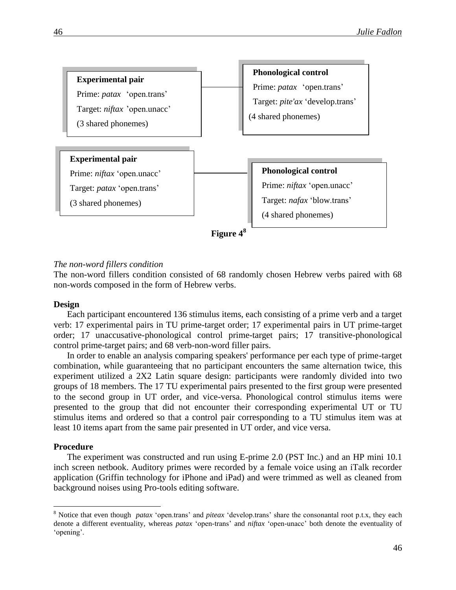

#### *The non-word fillers condition*

The non-word fillers condition consisted of 68 randomly chosen Hebrew verbs paired with 68 non-words composed in the form of Hebrew verbs.

#### **Design**

Each participant encountered 136 stimulus items, each consisting of a prime verb and a target verb: 17 experimental pairs in TU prime-target order; 17 experimental pairs in UT prime-target order; 17 unaccusative-phonological control prime-target pairs; 17 transitive-phonological control prime-target pairs; and 68 verb-non-word filler pairs.

In order to enable an analysis comparing speakers' performance per each type of prime-target combination, while guaranteeing that no participant encounters the same alternation twice, this experiment utilized a 2X2 Latin square design: participants were randomly divided into two groups of 18 members. The 17 TU experimental pairs presented to the first group were presented to the second group in UT order, and vice-versa. Phonological control stimulus items were presented to the group that did not encounter their corresponding experimental UT or TU stimulus items and ordered so that a control pair corresponding to a TU stimulus item was at least 10 items apart from the same pair presented in UT order, and vice versa.

### **Procedure**

 $\overline{a}$ 

The experiment was constructed and run using E-prime 2.0 (PST Inc.) and an HP mini 10.1 inch screen netbook. Auditory primes were recorded by a female voice using an iTalk recorder application (Griffin technology for iPhone and iPad) and were trimmed as well as cleaned from background noises using Pro-tools editing software.

<sup>8</sup> Notice that even though *patax* 'open.trans' and *piteax* 'develop.trans' share the consonantal root p.t.x, they each denote a different eventuality, whereas *patax* 'open-trans' and *niftax* 'open-unacc' both denote the eventuality of 'opening'.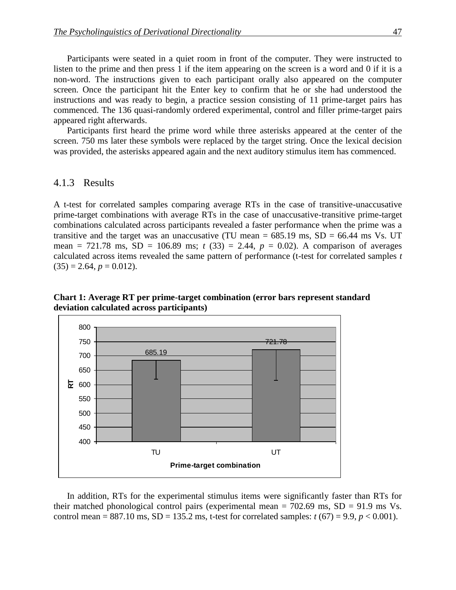Participants were seated in a quiet room in front of the computer. They were instructed to listen to the prime and then press 1 if the item appearing on the screen is a word and 0 if it is a non-word. The instructions given to each participant orally also appeared on the computer screen. Once the participant hit the Enter key to confirm that he or she had understood the instructions and was ready to begin, a practice session consisting of 11 prime-target pairs has commenced. The 136 quasi-randomly ordered experimental, control and filler prime-target pairs appeared right afterwards.

Participants first heard the prime word while three asterisks appeared at the center of the screen. 750 ms later these symbols were replaced by the target string. Once the lexical decision was provided, the asterisks appeared again and the next auditory stimulus item has commenced.

### 4.1.3 Results

A t-test for correlated samples comparing average RTs in the case of transitive-unaccusative prime-target combinations with average RTs in the case of unaccusative-transitive prime-target combinations calculated across participants revealed a faster performance when the prime was a transitive and the target was an unaccusative (TU mean =  $685.19$  ms,  $SD = 66.44$  ms Vs. UT mean = 721.78 ms,  $SD = 106.89$  ms;  $t(33) = 2.44$ ,  $p = 0.02$ ). A comparison of averages calculated across items revealed the same pattern of performance (t-test for correlated samples *t*  $(35) = 2.64, p = 0.012$ .

**Chart 1: Average RT per prime-target combination (error bars represent standard deviation calculated across participants)**



In addition, RTs for the experimental stimulus items were significantly faster than RTs for their matched phonological control pairs (experimental mean  $= 702.69$  ms,  $SD = 91.9$  ms Vs. control mean =  $887.10$  ms,  $SD = 135.2$  ms, t-test for correlated samples:  $t(67) = 9.9$ ,  $p < 0.001$ ).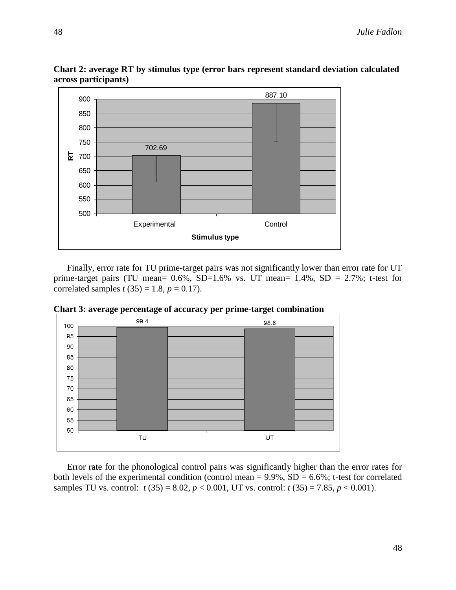

**Chart 2: average RT by stimulus type (error bars represent standard deviation calculated across participants)**

Finally, error rate for TU prime-target pairs was not significantly lower than error rate for UT prime-target pairs (TU mean=  $0.6\%$ , SD= $1.6\%$  vs. UT mean=  $1.4\%$ , SD =  $2.7\%$ ; t-test for correlated samples  $t(35) = 1.8$ ,  $p = 0.17$ ).



**Chart 3: average percentage of accuracy per prime-target combination** 

Error rate for the phonological control pairs was significantly higher than the error rates for both levels of the experimental condition (control mean =  $9.9\%$ , SD =  $6.6\%$ ; t-test for correlated samples TU vs. control:  $t$  (35) = 8.02,  $p$  < 0.001, UT vs. control:  $t$  (35) = 7.85,  $p$  < 0.001).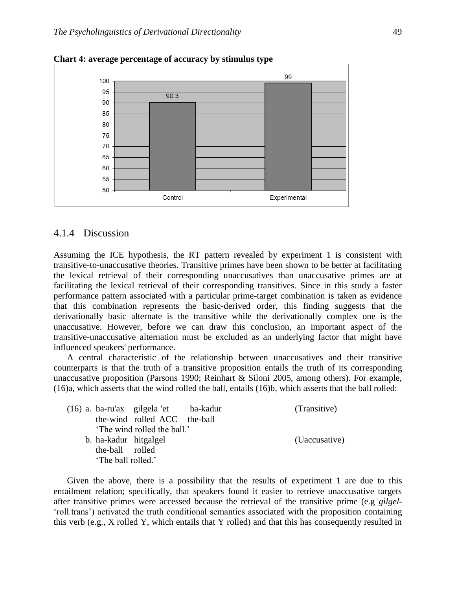

**Chart 4: average percentage of accuracy by stimulus type** 

### 4.1.4 Discussion

Assuming the ICE hypothesis, the RT pattern revealed by experiment 1 is consistent with transitive-to-unaccusative theories. Transitive primes have been shown to be better at facilitating the lexical retrieval of their corresponding unaccusatives than unaccusative primes are at facilitating the lexical retrieval of their corresponding transitives. Since in this study a faster performance pattern associated with a particular prime-target combination is taken as evidence that this combination represents the basic-derived order, this finding suggests that the derivationally basic alternate is the transitive while the derivationally complex one is the unaccusative. However, before we can draw this conclusion, an important aspect of the transitive-unaccusative alternation must be excluded as an underlying factor that might have influenced speakers' performance.

A central characteristic of the relationship between unaccusatives and their transitive counterparts is that the truth of a transitive proposition entails the truth of its corresponding unaccusative proposition (Parsons 1990; Reinhart & Siloni 2005, among others). For example, (16)a, which asserts that the wind rolled the ball, entails (16)b, which asserts that the ball rolled:

|  |                       | (16) a. ha-ru'ax gilgela 'et ha-kadur | (Transitive)  |
|--|-----------------------|---------------------------------------|---------------|
|  |                       | the-wind rolled ACC the-ball          |               |
|  |                       | 'The wind rolled the ball.'           |               |
|  | b. ha-kadur hitgalgel |                                       | (Uaccusative) |
|  | the-ball rolled       |                                       |               |
|  | 'The ball rolled.'    |                                       |               |

Given the above, there is a possibility that the results of experiment 1 are due to this entailment relation; specifically, that speakers found it easier to retrieve unaccusative targets after transitive primes were accessed because the retrieval of the transitive prime (e.g *gilgel*- 'roll.trans') activated the truth conditional semantics associated with the proposition containing this verb (e.g., X rolled Y, which entails that Y rolled) and that this has consequently resulted in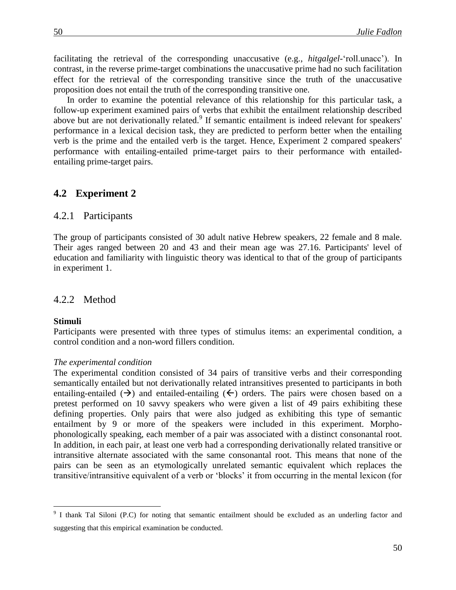facilitating the retrieval of the corresponding unaccusative (e.g., *hitgalgel*-'roll.unacc'). In contrast, in the reverse prime-target combinations the unaccusative prime had no such facilitation effect for the retrieval of the corresponding transitive since the truth of the unaccusative proposition does not entail the truth of the corresponding transitive one.

In order to examine the potential relevance of this relationship for this particular task, a follow-up experiment examined pairs of verbs that exhibit the entailment relationship described above but are not derivationally related.<sup>9</sup> If semantic entailment is indeed relevant for speakers' performance in a lexical decision task, they are predicted to perform better when the entailing verb is the prime and the entailed verb is the target. Hence, Experiment 2 compared speakers' performance with entailing-entailed prime-target pairs to their performance with entailedentailing prime-target pairs.

#### **4.2**xx**Experiment 2**

### 4.2.1 Participants

The group of participants consisted of 30 adult native Hebrew speakers, 22 female and 8 male. Their ages ranged between 20 and 43 and their mean age was 27.16. Participants' level of education and familiarity with linguistic theory was identical to that of the group of participants in experiment 1.

### 4.2.2 Method

#### **Stimuli**

 $\overline{a}$ 

Participants were presented with three types of stimulus items: an experimental condition, a control condition and a non-word fillers condition.

#### *The experimental condition*

The experimental condition consisted of 34 pairs of transitive verbs and their corresponding semantically entailed but not derivationally related intransitives presented to participants in both entailing-entailed  $(\rightarrow)$  and entailed-entailing  $(\leftarrow)$  orders. The pairs were chosen based on a pretest performed on 10 savvy speakers who were given a list of 49 pairs exhibiting these defining properties. Only pairs that were also judged as exhibiting this type of semantic entailment by 9 or more of the speakers were included in this experiment. Morphophonologically speaking, each member of a pair was associated with a distinct consonantal root. In addition, in each pair, at least one verb had a corresponding derivationally related transitive or intransitive alternate associated with the same consonantal root. This means that none of the pairs can be seen as an etymologically unrelated semantic equivalent which replaces the transitive/intransitive equivalent of a verb or 'blocks' it from occurring in the mental lexicon (for

<sup>&</sup>lt;sup>9</sup> I thank Tal Siloni (P.C) for noting that semantic entailment should be excluded as an underling factor and suggesting that this empirical examination be conducted.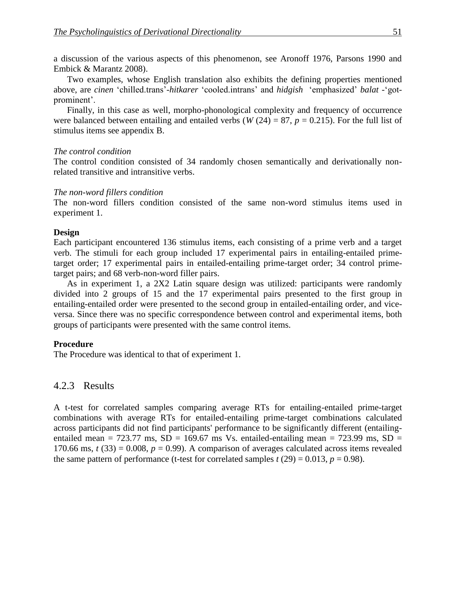a discussion of the various aspects of this phenomenon, see Aronoff 1976, Parsons 1990 and Embick & Marantz 2008).

Two examples, whose English translation also exhibits the defining properties mentioned above, are *cinen* 'chilled.trans'-*hitkarer* 'cooled.intrans' and *hidgish* 'emphasized' *balat* -'gotprominent'.

Finally, in this case as well, morpho-phonological complexity and frequency of occurrence were balanced between entailing and entailed verbs (*W* (24) = 87, *p* = 0.215). For the full list of stimulus items see appendix B.

#### *The control condition*

The control condition consisted of 34 randomly chosen semantically and derivationally nonrelated transitive and intransitive verbs.

#### *The non-word fillers condition*

The non-word fillers condition consisted of the same non-word stimulus items used in experiment 1.

### **Design**

Each participant encountered 136 stimulus items, each consisting of a prime verb and a target verb. The stimuli for each group included 17 experimental pairs in entailing-entailed primetarget order; 17 experimental pairs in entailed-entailing prime-target order; 34 control primetarget pairs; and 68 verb-non-word filler pairs.

As in experiment 1, a 2X2 Latin square design was utilized: participants were randomly divided into 2 groups of 15 and the 17 experimental pairs presented to the first group in entailing-entailed order were presented to the second group in entailed-entailing order, and viceversa. Since there was no specific correspondence between control and experimental items, both groups of participants were presented with the same control items.

### **Procedure**

The Procedure was identical to that of experiment 1.

### 4.2.3 Results

A t-test for correlated samples comparing average RTs for entailing-entailed prime-target combinations with average RTs for entailed-entailing prime-target combinations calculated across participants did not find participants' performance to be significantly different (entailingentailed mean =  $723.77$  ms,  $SD = 169.67$  ms Vs. entailed-entailing mean =  $723.99$  ms,  $SD =$ 170.66 ms,  $t(33) = 0.008$ ,  $p = 0.99$ ). A comparison of averages calculated across items revealed the same pattern of performance (t-test for correlated samples  $t(29) = 0.013$ ,  $p = 0.98$ ).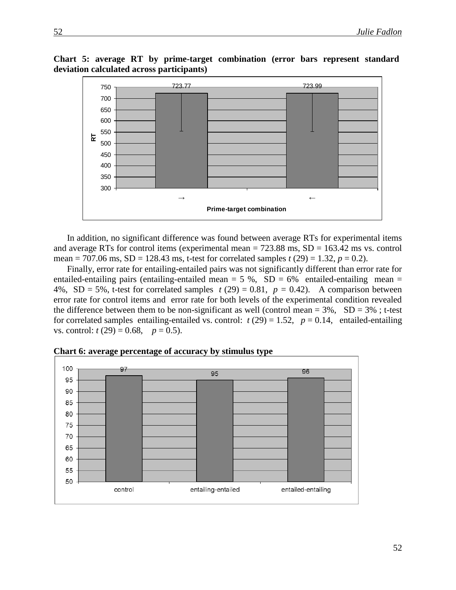**Chart 5: average RT by prime-target combination (error bars represent standard deviation calculated across participants)**



In addition, no significant difference was found between average RTs for experimental items and average RTs for control items (experimental mean  $= 723.88$  ms,  $SD = 163.42$  ms vs. control mean = 707.06 ms,  $SD = 128.43$  ms, t-test for correlated samples  $t(29) = 1.32$ ,  $p = 0.2$ ).

Finally, error rate for entailing-entailed pairs was not significantly different than error rate for entailed-entailing pairs (entailing-entailed mean  $= 5 %$ ,  $SD = 6%$  entailed-entailing mean  $=$ 4%, SD = 5%, t-test for correlated samples  $t(29) = 0.81$ ,  $p = 0.42$ ). A comparison between error rate for control items and error rate for both levels of the experimental condition revealed the difference between them to be non-significant as well (control mean  $= 3\%$ , SD  $= 3\%$ ; t-test for correlated samples entailing-entailed vs. control:  $t(29) = 1.52$ ,  $p = 0.14$ , entailed-entailing vs. control:  $t(29) = 0.68$ ,  $p = 0.5$ ).



**Chart 6: average percentage of accuracy by stimulus type**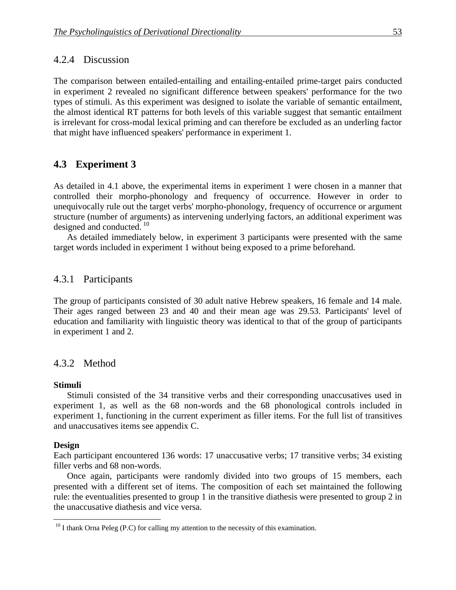### 4.2.4 Discussion

The comparison between entailed-entailing and entailing-entailed prime-target pairs conducted in experiment 2 revealed no significant difference between speakers' performance for the two types of stimuli. As this experiment was designed to isolate the variable of semantic entailment, the almost identical RT patterns for both levels of this variable suggest that semantic entailment is irrelevant for cross-modal lexical priming and can therefore be excluded as an underling factor that might have influenced speakers' performance in experiment 1.

### **4.3**xx**Experiment 3**

As detailed in 4.1 above, the experimental items in experiment 1 were chosen in a manner that controlled their morpho-phonology and frequency of occurrence. However in order to unequivocally rule out the target verbs' morpho-phonology, frequency of occurrence or argument structure (number of arguments) as intervening underlying factors, an additional experiment was designed and conducted. <sup>10</sup>

As detailed immediately below, in experiment 3 participants were presented with the same target words included in experiment 1 without being exposed to a prime beforehand.

### 4.3.1 Participants

The group of participants consisted of 30 adult native Hebrew speakers, 16 female and 14 male. Their ages ranged between 23 and 40 and their mean age was 29.53. Participants' level of education and familiarity with linguistic theory was identical to that of the group of participants in experiment 1 and 2.

#### 4.3.2 Method

#### **Stimuli**

Stimuli consisted of the 34 transitive verbs and their corresponding unaccusatives used in experiment 1, as well as the 68 non-words and the 68 phonological controls included in experiment 1, functioning in the current experiment as filler items. For the full list of transitives and unaccusatives items see appendix C.

#### **Design**

 $\overline{a}$ 

Each participant encountered 136 words: 17 unaccusative verbs; 17 transitive verbs; 34 existing filler verbs and 68 non-words.

Once again, participants were randomly divided into two groups of 15 members, each presented with a different set of items. The composition of each set maintained the following rule: the eventualities presented to group 1 in the transitive diathesis were presented to group 2 in the unaccusative diathesis and vice versa.

 $10$  I thank Orna Peleg (P.C) for calling my attention to the necessity of this examination.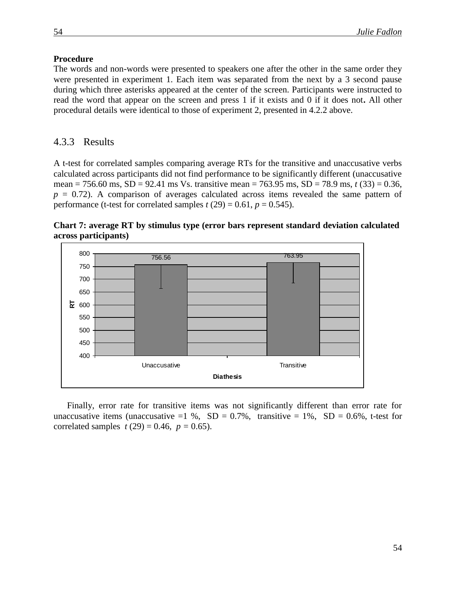### **Procedure**

The words and non-words were presented to speakers one after the other in the same order they were presented in experiment 1. Each item was separated from the next by a 3 second pause during which three asterisks appeared at the center of the screen. Participants were instructed to read the word that appear on the screen and press 1 if it exists and 0 if it does not**.** All other procedural details were identical to those of experiment 2, presented in 4.2.2 above.

### 4.3.3 Results

A t-test for correlated samples comparing average RTs for the transitive and unaccusative verbs calculated across participants did not find performance to be significantly different (unaccusative mean = 756.60 ms, SD = 92.41 ms Vs. transitive mean = 763.95 ms, SD = 78.9 ms, *t* (33) = 0.36,  $p = 0.72$ ). A comparison of averages calculated across items revealed the same pattern of performance (t-test for correlated samples  $t(29) = 0.61$ ,  $p = 0.545$ ).



**Chart 7: average RT by stimulus type (error bars represent standard deviation calculated across participants)**

Finally, error rate for transitive items was not significantly different than error rate for unaccusative items (unaccusative  $=1\%$ , SD = 0.7%, transitive = 1%, SD = 0.6%, t-test for correlated samples  $t(29) = 0.46$ ,  $p = 0.65$ ).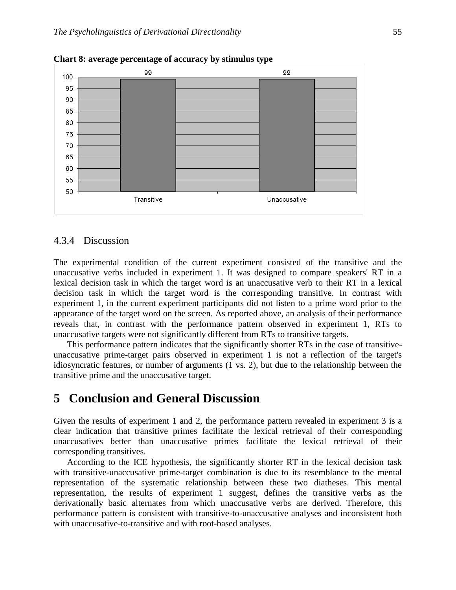

**Chart 8: average percentage of accuracy by stimulus type** 

#### 4.3.4 Discussion

The experimental condition of the current experiment consisted of the transitive and the unaccusative verbs included in experiment 1. It was designed to compare speakers' RT in a lexical decision task in which the target word is an unaccusative verb to their RT in a lexical decision task in which the target word is the corresponding transitive. In contrast with experiment 1, in the current experiment participants did not listen to a prime word prior to the appearance of the target word on the screen. As reported above, an analysis of their performance reveals that, in contrast with the performance pattern observed in experiment 1, RTs to unaccusative targets were not significantly different from RTs to transitive targets.

This performance pattern indicates that the significantly shorter RTs in the case of transitiveunaccusative prime-target pairs observed in experiment 1 is not a reflection of the target's idiosyncratic features, or number of arguments (1 vs. 2), but due to the relationship between the transitive prime and the unaccusative target.

## **5**xx**Conclusion and General Discussion**

Given the results of experiment 1 and 2, the performance pattern revealed in experiment 3 is a clear indication that transitive primes facilitate the lexical retrieval of their corresponding unaccusatives better than unaccusative primes facilitate the lexical retrieval of their corresponding transitives.

According to the ICE hypothesis, the significantly shorter RT in the lexical decision task with transitive-unaccusative prime-target combination is due to its resemblance to the mental representation of the systematic relationship between these two diatheses. This mental representation, the results of experiment 1 suggest, defines the transitive verbs as the derivationally basic alternates from which unaccusative verbs are derived. Therefore, this performance pattern is consistent with transitive-to-unaccusative analyses and inconsistent both with unaccusative-to-transitive and with root-based analyses.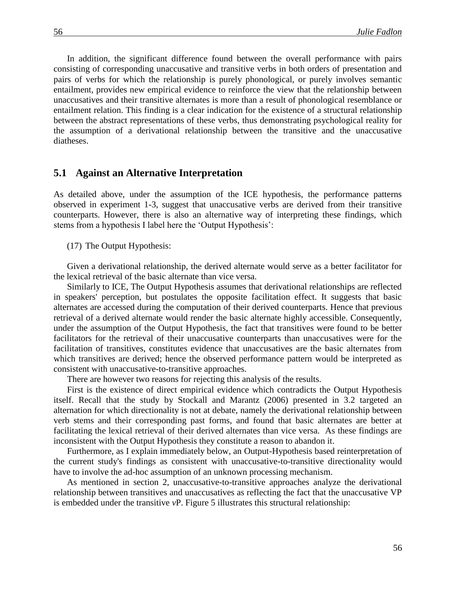In addition, the significant difference found between the overall performance with pairs consisting of corresponding unaccusative and transitive verbs in both orders of presentation and pairs of verbs for which the relationship is purely phonological, or purely involves semantic entailment, provides new empirical evidence to reinforce the view that the relationship between unaccusatives and their transitive alternates is more than a result of phonological resemblance or entailment relation. This finding is a clear indication for the existence of a structural relationship between the abstract representations of these verbs, thus demonstrating psychological reality for the assumption of a derivational relationship between the transitive and the unaccusative diatheses.

#### **5.1** Against an Alternative Interpretation

As detailed above, under the assumption of the ICE hypothesis, the performance patterns observed in experiment 1-3, suggest that unaccusative verbs are derived from their transitive counterparts. However, there is also an alternative way of interpreting these findings, which stems from a hypothesis I label here the 'Output Hypothesis':

(17) The Output Hypothesis:

Given a derivational relationship, the derived alternate would serve as a better facilitator for the lexical retrieval of the basic alternate than vice versa.

Similarly to ICE, The Output Hypothesis assumes that derivational relationships are reflected in speakers' perception, but postulates the opposite facilitation effect. It suggests that basic alternates are accessed during the computation of their derived counterparts. Hence that previous retrieval of a derived alternate would render the basic alternate highly accessible. Consequently, under the assumption of the Output Hypothesis, the fact that transitives were found to be better facilitators for the retrieval of their unaccusative counterparts than unaccusatives were for the facilitation of transitives, constitutes evidence that unaccusatives are the basic alternates from which transitives are derived; hence the observed performance pattern would be interpreted as consistent with unaccusative-to-transitive approaches.

There are however two reasons for rejecting this analysis of the results.

First is the existence of direct empirical evidence which contradicts the Output Hypothesis itself. Recall that the study by Stockall and Marantz (2006) presented in 3.2 targeted an alternation for which directionality is not at debate, namely the derivational relationship between verb stems and their corresponding past forms, and found that basic alternates are better at facilitating the lexical retrieval of their derived alternates than vice versa. As these findings are inconsistent with the Output Hypothesis they constitute a reason to abandon it.

Furthermore, as I explain immediately below, an Output-Hypothesis based reinterpretation of the current study's findings as consistent with unaccusative-to-transitive directionality would have to involve the ad-hoc assumption of an unknown processing mechanism.

As mentioned in section 2, unaccusative-to-transitive approaches analyze the derivational relationship between transitives and unaccusatives as reflecting the fact that the unaccusative VP is embedded under the transitive *v*P. Figure 5 illustrates this structural relationship: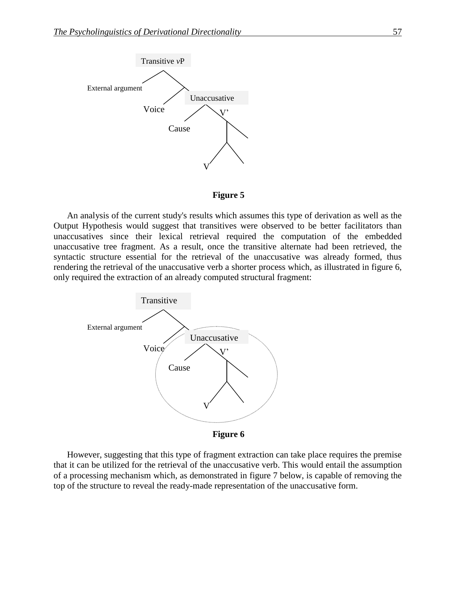



An analysis of the current study's results which assumes this type of derivation as well as the Output Hypothesis would suggest that transitives were observed to be better facilitators than unaccusatives since their lexical retrieval required the computation of the embedded unaccusative tree fragment. As a result, once the transitive alternate had been retrieved, the syntactic structure essential for the retrieval of the unaccusative was already formed, thus rendering the retrieval of the unaccusative verb a shorter process which, as illustrated in figure 6, only required the extraction of an already computed structural fragment:



However, suggesting that this type of fragment extraction can take place requires the premise that it can be utilized for the retrieval of the unaccusative verb. This would entail the assumption of a processing mechanism which, as demonstrated in figure 7 below, is capable of removing the top of the structure to reveal the ready-made representation of the unaccusative form.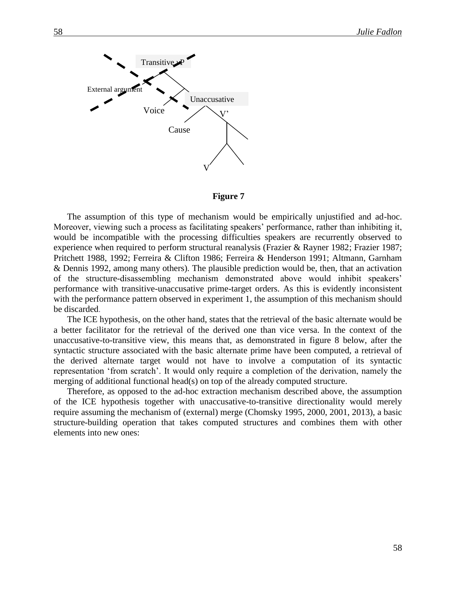

**Figure 7 0 רבעון** 

The assumption of this type of mechanism would be empirically unjustified and ad-hoc. Moreover, viewing such a process as facilitating speakers' performance, rather than inhibiting it, would be incompatible with the processing difficulties speakers are recurrently observed to experience when required to perform structural reanalysis (Frazier & Rayner 1982; Frazier 1987; Pritchett 1988, 1992; Ferreira & Clifton 1986; Ferreira & Henderson 1991; Altmann, Garnham & Dennis 1992, among many others). The plausible prediction would be, then, that an activation of the structure-disassembling mechanism demonstrated above would inhibit speakers' performance with transitive-unaccusative prime-target orders. As this is evidently inconsistent with the performance pattern observed in experiment 1, the assumption of this mechanism should be discarded.

The ICE hypothesis, on the other hand, states that the retrieval of the basic alternate would be a better facilitator for the retrieval of the derived one than vice versa. In the context of the unaccusative-to-transitive view, this means that, as demonstrated in figure 8 below, after the syntactic structure associated with the basic alternate prime have been computed, a retrieval of the derived alternate target would not have to involve a computation of its syntactic representation 'from scratch'. It would only require a completion of the derivation, namely the merging of additional functional head(s) on top of the already computed structure.

Therefore, as opposed to the ad-hoc extraction mechanism described above, the assumption of the ICE hypothesis together with unaccusative-to-transitive directionality would merely require assuming the mechanism of (external) merge (Chomsky 1995, 2000, 2001, 2013), a basic structure-building operation that takes computed structures and combines them with other elements into new ones: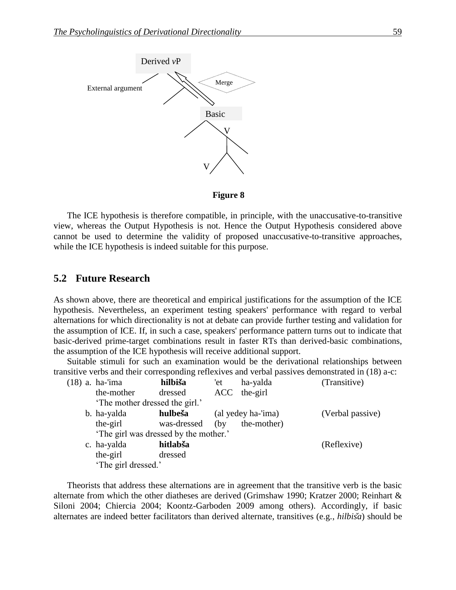

**Figure 8**

The ICE hypothesis is therefore compatible, in principle, with the unaccusative-to-transitive view, whereas the Output Hypothesis is not. Hence the Output Hypothesis considered above cannot be used to determine the validity of proposed unaccusative-to-transitive approaches, while the ICE hypothesis is indeed suitable for this purpose.

### **5.2 Future Research**

As shown above, there are theoretical and empirical justifications for the assumption of the ICE hypothesis. Nevertheless, an experiment testing speakers' performance with regard to verbal alternations for which directionality is not at debate can provide further testing and validation for the assumption of ICE. If, in such a case, speakers' performance pattern turns out to indicate that basic-derived prime-target combinations result in faster RTs than derived-basic combinations, the assumption of the ICE hypothesis will receive additional support.

Suitable stimuli for such an examination would be the derivational relationships between transitive verbs and their corresponding reflexives and verbal passives demonstrated in (18) a-c:

|  | (18) a. ha-'ima                       | hilbiša     | 'et  | ha-yalda           | (Transitive)     |
|--|---------------------------------------|-------------|------|--------------------|------------------|
|  | the-mother                            | dressed     |      | ACC the-girl       |                  |
|  | 'The mother dressed the girl.'        |             |      |                    |                  |
|  | b. ha-yalda                           | hulbeša     |      | (al yedey ha-'ima) | (Verbal passive) |
|  | the-girl                              | was-dressed | (by) | the-mother)        |                  |
|  | 'The girl was dressed by the mother.' |             |      |                    |                  |
|  | c. ha-yalda                           | hitlabša    |      |                    | (Reflexive)      |
|  | the-girl                              | dressed     |      |                    |                  |
|  | 'The girl dressed.'                   |             |      |                    |                  |
|  |                                       |             |      |                    |                  |

Theorists that address these alternations are in agreement that the transitive verb is the basic alternate from which the other diatheses are derived (Grimshaw 1990; Kratzer 2000; Reinhart & Siloni 2004; Chiercia 2004; Koontz-Garboden 2009 among others). Accordingly, if basic alternates are indeed better facilitators than derived alternate, transitives (e.g., *hilbisa*) should be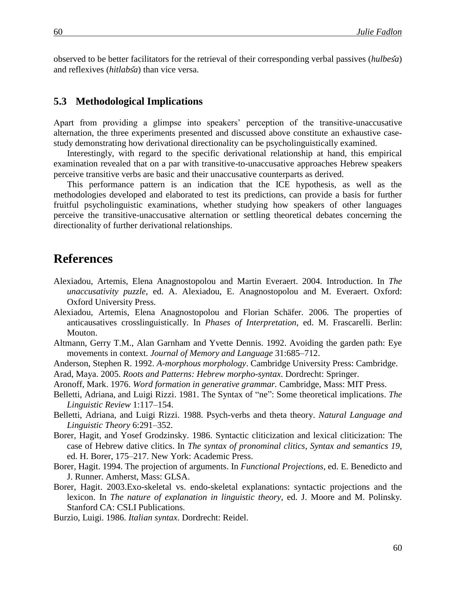observed to be better facilitators for the retrieval of their corresponding verbal passives (hulbesa) and reflexives (*hitlabsa*) than vice versa.

### **5.3** Methodological Implications

Apart from providing a glimpse into speakers' perception of the transitive-unaccusative alternation, the three experiments presented and discussed above constitute an exhaustive casestudy demonstrating how derivational directionality can be psycholinguistically examined.

Interestingly, with regard to the specific derivational relationship at hand, this empirical examination revealed that on a par with transitive-to-unaccusative approaches Hebrew speakers perceive transitive verbs are basic and their unaccusative counterparts as derived.

This performance pattern is an indication that the ICE hypothesis, as well as the methodologies developed and elaborated to test its predictions, can provide a basis for further fruitful psycholinguistic examinations, whether studying how speakers of other languages perceive the transitive-unaccusative alternation or settling theoretical debates concerning the directionality of further derivational relationships.

## **References**

- Alexiadou, Artemis, Elena Anagnostopolou and Martin Everaert. 2004. Introduction. In *The unaccusativity puzzle*, ed. A. Alexiadou, E. Anagnostopolou and M. Everaert. Oxford: Oxford University Press.
- Alexiadou, Artemis, Elena Anagnostopolou and Florian Schäfer. 2006. The properties of anticausatives crosslinguistically. In *Phases of Interpretation*, ed. M. Frascarelli. Berlin: Mouton.
- Altmann, Gerry T.M., Alan Garnham and Yvette Dennis. 1992. Avoiding the garden path: Eye movements in context. *Journal of Memory and Language* 31:685–712.
- Anderson, Stephen R. 1992. *A-morphous morphology*. Cambridge University Press: Cambridge.
- Arad, Maya. 2005. *Roots and Patterns: Hebrew morpho-syntax*. Dordrecht: Springer.
- Aronoff, Mark. 1976. *Word formation in generative grammar.* Cambridge, Mass: MIT Press.
- Belletti, Adriana, and Luigi Rizzi. 1981. The Syntax of "ne": Some theoretical implications. *The Linguistic Review* 1:117–154.
- Belletti, Adriana, and Luigi Rizzi. 1988. Psych-verbs and theta theory. *Natural Language and Linguistic Theory* 6:291–352.
- Borer, Hagit, and Yosef Grodzinsky. 1986. Syntactic cliticization and lexical cliticization: The case of Hebrew dative clitics. In *The syntax of pronominal clitics*, *Syntax and semantics 19*, ed. H. Borer, 175–217. New York: Academic Press.
- Borer, Hagit. 1994. The projection of arguments. In *Functional Projections*, ed. E. Benedicto and J. Runner. Amherst, Mass: GLSA.
- Borer, Hagit. 2003.Exo-skeletal vs. endo-skeletal explanations: syntactic projections and the lexicon. In *The nature of explanation in linguistic theory*, ed. J. Moore and M. Polinsky*.* Stanford CA: CSLI Publications.
- Burzio, Luigi. 1986. *Italian syntax*. Dordrecht: Reidel.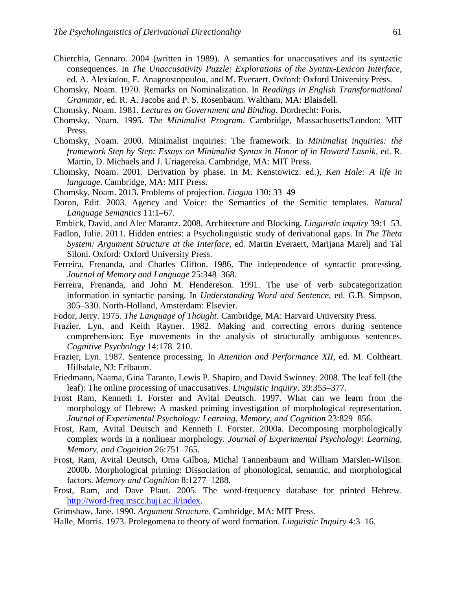- Chierchia, Gennaro. 2004 (written in 1989). A semantics for unaccusatives and its syntactic consequences. In *The Unaccusativity Puzzle: Explorations of the Syntax-Lexicon Interface*, ed. A. Alexiadou, E. Anagnostopoulou, and M. Everaert. Oxford: Oxford University Press.
- Chomsky, Noam. 1970. Remarks on Nominalization. In *Readings in English Transformational Grammar*, ed. R. A. Jacobs and P. S. Rosenbaum*.* Waltham, MA: Blaisdell.
- Chomsky, Noam. 1981. *Lectures on Government and Binding.* Dordrecht: Foris.
- Chomsky, Noam. 1995. *The Minimalist Program*. Cambridge, Massachusetts/London: MIT Press.
- Chomsky, Noam. 2000. Minimalist inquiries: The framework. In *Minimalist inquiries: the framework Step by Step: Essays on Minimalist Syntax in Honor of in Howard Lasnik*, ed. R. Martin, D. Michaels and J. Uriagereka. Cambridge, MA: MIT Press.
- Chomsky, Noam. 2001. Derivation by phase. In M. Kenstowicz. ed.), *Ken Hale: A life in language*. Cambridge, MA: MIT Press.
- Chomsky, Noam. 2013. Problems of projection. *Lingua* 130: 33–49
- Doron, Edit. 2003. Agency and Voice: the Semantics of the Semitic templates. *Natural Language Semantics* 11:1–67.
- Embick, David, and Alec Marantz. 2008. Architecture and Blocking. *Linguistic inquiry* 39:1–53.
- Fadlon, Julie. 2011. Hidden entries: a Psycholinguistic study of derivational gaps. In *The Theta System: Argument Structure at the Interface*, ed. Martin Everaert, Marijana Marelj and Tal Siloni. Oxford: Oxford University Press.
- Ferreira, Frenanda, and Charles Clifton. 1986. The independence of syntactic processing. *Journal of Memory and Language* 25:348–368.
- Ferreira, Frenanda, and John M. Hendereson. 1991. The use of verb subcategorization information in syntactic parsing. In *Understanding Word and Sentence*, ed. G.B. Simpson, 305–330. North-Holland, Amsterdam: Elsevier.
- Fodor, Jerry. 1975. *The Language of Thought*. Cambridge, MA: Harvard University Press.
- Frazier, Lyn, and Keith Rayner. 1982. Making and correcting errors during sentence comprehension: Eye movements in the analysis of structurally ambiguous sentences. *Cognitive Psychology* 14:178–210.
- Frazier, Lyn. 1987. Sentence processing. In *Attention and Performance XII*, ed. M. Coltheart. Hillsdale, NJ: Erlbaum.
- Friedmann, Naama, Gina Taranto, Lewis P. Shapiro, and David Swinney. 2008. The leaf fell (the leaf): The online processing of unaccusatives. *Linguistic Inquiry*. 39:355–377.
- Frost Ram, Kenneth I. Forster and Avital Deutsch. 1997. What can we learn from the morphology of Hebrew: A masked priming investigation of morphological representation. *Journal of Experimental Psychology: Learning, Memory, and Cognition* 23:829–856.
- Frost, Ram, Avital Deutsch and Kenneth I. Forster. 2000a. Decomposing morphologically complex words in a nonlinear morphology. *Journal of Experimental Psychology: Learning, Memory, and Cognition* 26:751–765.
- Frost, Ram, Avital Deutsch, Orna Gilboa, Michal Tannenbaum and William Marslen-Wilson. 2000b. Morphological priming: Dissociation of phonological, semantic, and morphological factors. *Memory and Cognition* 8:1277–1288.
- Frost, Ram, and Dave Plaut. 2005. The word-frequency database for printed Hebrew. [http://word-freq.mscc.huji.ac.il/index.](http://www.sciencedirect.com/science?_ob=RedirectURL&_method=externObjLink&_locator=url&_cdi=271080&_issn=00068993&_origin=article&_zone=art_page&_plusSign=%2B&_targetURL=http%253A%252F%252Fword-freq.mscc.huji.ac.il%252Findex)

Grimshaw, Jane. 1990. *Argument Structure*. Cambridge, MA: MIT Press.

Halle, Morris. 1973. Prolegomena to theory of word formation. *Linguistic Inquiry* 4:3–16.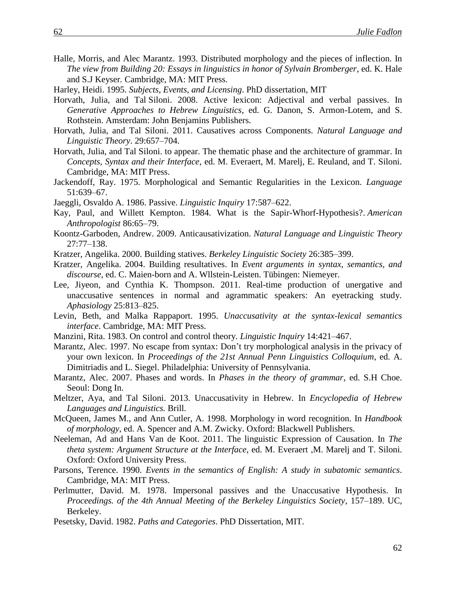- Halle, Morris, and Alec Marantz. 1993. Distributed morphology and the pieces of inflection. In *The view from Building 20: Essays in linguistics in honor of Sylvain Bromberger*, ed. K. Hale and S.J Keyser*.* Cambridge, MA: MIT Press.
- Harley, Heidi. 1995. *Subjects, Events, and Licensing*. PhD dissertation, MIT
- Horvath, Julia, and Tal Siloni. 2008. Active lexicon: Adjectival and verbal passives. In *Generative Approaches to Hebrew Linguistics*, ed. G. Danon, S. Armon-Lotem, and S. Rothstein. Amsterdam: John Benjamins Publishers.
- Horvath, Julia, and Tal Siloni. 2011. Causatives across Components. *Natural Language and Linguistic Theory*. 29:657–704.
- Horvath, Julia, and Tal Siloni. to appear. The thematic phase and the architecture of grammar. In *Concepts, Syntax and their Interface*, ed. M. Everaert, M. Marelj, E. Reuland, and T. Siloni*.* Cambridge, MA: MIT Press.
- Jackendoff, Ray. 1975. Morphological and Semantic Regularities in the Lexicon. *Language* 51:639–67.
- Jaeggli, Osvaldo A. 1986. Passive. *Linguistic Inquiry* 17:587–622.
- Kay, Paul, and Willett Kempton. 1984. What is the Sapir-Whorf-Hypothesis?. *American Anthropologist* 86:65–79.
- Koontz-Garboden, Andrew. 2009. Anticausativization. *Natural Language and Linguistic Theory*  27:77–138.
- Kratzer, Angelika. 2000. Building statives. *Berkeley Linguistic Society* 26:385–399.
- Kratzer, Angelika. 2004. Building resultatives. In *Event arguments in syntax, semantics, and discourse*, ed. C. Maien-born and A. Wllstein-Leisten. Tübingen: Niemeyer.
- Lee, Jiyeon, and Cynthia K. Thompson. 2011. Real-time production of unergative and unaccusative sentences in normal and agrammatic speakers: An eyetracking study. *Aphasiology* 25:813–825.
- Levin, Beth, and Malka Rappaport. 1995. *Unaccusativity at the syntax-lexical semantics interface*. Cambridge, MA: MIT Press.
- Manzini, Rita. 1983. On control and control theory. *Linguistic Inquiry* 14:421–467.
- Marantz, Alec. 1997. No escape from syntax: Don't try morphological analysis in the privacy of your own lexicon. In *Proceedings of the 21st Annual Penn Linguistics Colloquium*, ed. A. Dimitriadis and L. Siegel. Philadelphia: University of Pennsylvania.
- Marantz, Alec. 2007. Phases and words. In *Phases in the theory of grammar*, ed. S.H Choe. Seoul: Dong In.
- Meltzer, Aya, and Tal Siloni. 2013. Unaccusativity in Hebrew*.* In *Encyclopedia of Hebrew Languages and Linguistics.* Brill.
- McQueen, James M., and Ann Cutler, A. 1998. Morphology in word recognition. In *Handbook of morphology*, ed. A. Spencer and A.M. Zwicky. Oxford: Blackwell Publishers.
- Neeleman, Ad and Hans Van de Koot. 2011. The linguistic Expression of Causation. In *The theta system: Argument Structure at the Interface*, ed. M. Everaert ,M. Marelj and T. Siloni. Oxford: Oxford University Press.
- Parsons, Terence. 1990. *Events in the semantics of English: A study in subatomic semantics*. Cambridge, MA: MIT Press.
- Perlmutter, David. M. 1978. Impersonal passives and the Unaccusative Hypothesis. In *Proceedings. of the 4th Annual Meeting of the Berkeley Linguistics Society*, 157–189. UC, Berkeley.
- Pesetsky, David. 1982. *Paths and Categories*. PhD Dissertation, MIT.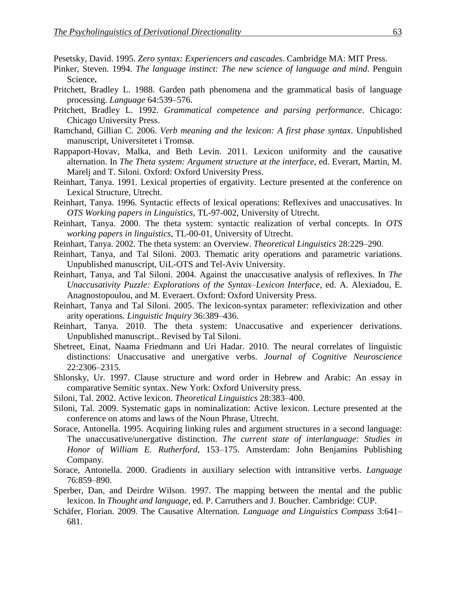Pesetsky, David. 1995. *Zero syntax: Experiencers and cascades*. Cambridge MA: MIT Press.

- Pinker, Steven. 1994. *The language instinct: The new science of language and mind*. Penguin Science**.**
- Pritchett, Bradley L. 1988. Garden path phenomena and the grammatical basis of language processing. *Language* 64:539–576.
- Pritchett, Bradley L. 1992. *Grammatical competence and parsing performance*. Chicago: Chicago University Press.
- Ramchand, Gillian C. 2006. *Verb meaning and the lexicon: A first phase syntax*. Unpublished manuscript, Universitetet i Tromsø.
- Rappaport-Hovav, Malka, and Beth Levin. 2011. Lexicon uniformity and the causative alternation. In *The Theta system: Argument structure at the interface*, ed. Everart, Martin, M. Marelj and T. Siloni. Oxford: Oxford University Press.
- Reinhart, Tanya. 1991. Lexical properties of ergativity. Lecture presented at the conference on Lexical Structure, Utrecht.
- Reinhart, Tanya. 1996. Syntactic effects of lexical operations: Reflexives and unaccusatives. In *OTS Working papers in Linguistics*, TL-97-002, University of Utrecht.
- Reinhart, Tanya. 2000. The theta system: syntactic realization of verbal concepts. In *OTS working papers in linguistics*, TL-00-01, University of Utrecht.
- Reinhart, Tanya. 2002. The theta system: an Overview. *Theoretical Linguistics* 28:229–290.
- Reinhart, Tanya, and Tal Siloni. 2003. Thematic arity operations and parametric variations. Unpublished manuscript, UiL-OTS and Tel-Aviv University.
- Reinhart, Tanya, and Tal Siloni. 2004. Against the unaccusative analysis of reflexives. In *The Unaccusativity Puzzle: Explorations of the Syntax–Lexicon Interface*, ed. A. Alexiadou, E. Anagnostopoulou, and M. Everaert. Oxford: Oxford University Press.
- Reinhart, Tanya and Tal Siloni. 2005. The lexicon-syntax parameter: reflexivization and other arity operations*. Linguistic Inquiry* 36:389–436.
- Reinhart, Tanya. 2010. The theta system: Unaccusative and experiencer derivations. Unpublished manuscript.. Revised by Tal Siloni.
- Shetreet, Einat, Naama Friedmann and Uri Hadar. 2010. The neural correlates of linguistic distinctions: Unaccusative and unergative verbs. *Journal of Cognitive Neuroscience* 22:2306–2315.
- Shlonsky, Ur. 1997. Clause structure and word order in Hebrew and Arabic: An essay in comparative Semitic syntax. New York: Oxford University press.
- Siloni, Tal. 2002. Active lexicon. *Theoretical Linguistics* 28:383–400.
- Siloni, Tal. 2009. Systematic gaps in nominalization: Active lexicon. Lecture presented at the conference on atoms and laws of the Noun Phrase, Utrecht*.*
- Sorace, Antonella. 1995. Acquiring linking rules and argument structures in a second language: The unaccusative/unergative distinction. *The current state of interlanguage: Studies in Honor of William E. Rutherford*, 153–175. Amsterdam: John Benjamins Publishing Company.
- Sorace, Antonella. 2000. Gradients in auxiliary selection with intransitive verbs. *Language* 76:859–890.
- Sperber, Dan, and Deirdre Wilson. 1997. The mapping between the mental and the public lexicon. In *Thought and language*, ed. P. Carruthers and J. Boucher. Cambridge: CUP.
- Schäfer, Florian. 2009. The Causative Alternation. *Language and Linguistics Compass* 3:641– 681.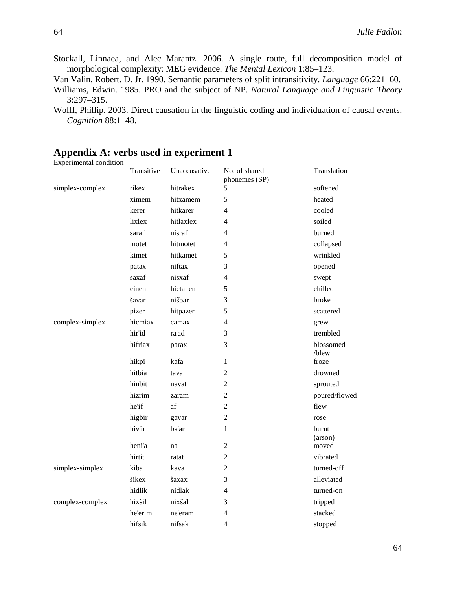- Stockall, Linnaea, and Alec Marantz. 2006. A single route, full decomposition model of morphological complexity: MEG evidence. *The Mental Lexicon* 1:85–123.
- Van Valin, Robert. D. Jr. 1990. Semantic parameters of split intransitivity. *Language* 66:221–60.
- Williams, Edwin. 1985. PRO and the subject of NP. *Natural Language and Linguistic Theory*  3:297–315.
- Wolff, Phillip. 2003. Direct causation in the linguistic coding and individuation of causal events. *Cognition* 88:1–48.

### Experimental condition Transitive Unaccusative No. of shared phonemes (SP) Translation simplex-complex rikex hitrakex 5 softened ximem hitxamem 5 heated kerer hitkarer 4 cooled lixlex hitlaxlex 4 soiled saraf nisraf 4 burned motet hitmotet 4 collapsed kimet hitkamet 5 wrinkled patax niftax 3 opened saxaf nisxaf 4 swept cinen hictanen 5 chilled s savar nis bar 3 broke pizer hitpazer 5 scattered complex-simplex hicmiax camax 4 grew hir'id ra'ad 3 trembled hifriax parax 3 blossomed /blew hikpi kafa 1 froze hitbia tava 2 drowned hinbit navat 2 sprouted hizrim zaram 2 poured/flowed he'if af 2 flew higbir gavar 2 rose hiv'ir ba'ar 1 burnt (arson) heni'a na 2 moved hirtit ratat 2 vibrated simplex-simplex kiba kava 2 turned-off sikex saxax 3 alleviated hidlik nidlak 4 turned-on complex-complex hixs il nixs al 3 tripped he'erim ne'eram 4 stacked hifsik nifsak 4 stopped

### **Appendix A: verbs used in experiment 1**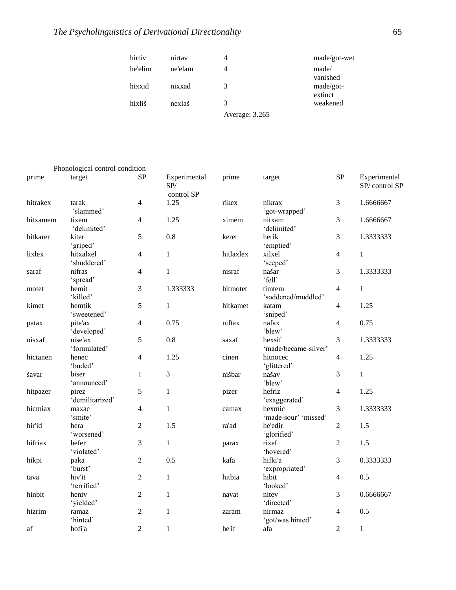| hirtiy  | nirtay  |                | made/got-wet         |
|---------|---------|----------------|----------------------|
| he'elim | ne'elam | 4              | made/<br>vanished    |
| hixxid  | nixxad  | 3              | made/got-<br>extinct |
| hixliš  | nexlaš  | 3              | weakened             |
|         |         | Average: 3.265 |                      |

|          | Phonological control condition |                |                                   |           |                                |                |                               |
|----------|--------------------------------|----------------|-----------------------------------|-----------|--------------------------------|----------------|-------------------------------|
| prime    | target                         | <b>SP</b>      | Experimental<br>SP/<br>control SP | prime     | target                         | <b>SP</b>      | Experimental<br>SP/control SP |
| hitrakex | tarak<br>'slammed'             | 4              | 1.25                              | rikex     | nikrax<br>'got-wrapped'        | 3              | 1.6666667                     |
| hitxamem | tixem<br>'delimited'           | 4              | 1.25                              | ximem     | nitxam<br>'delimited'          | 3              | 1.6666667                     |
| hitkarer | kiter<br>'griped'              | 5              | 0.8                               | kerer     | herik<br>'emptied'             | 3              | 1.3333333                     |
| lixlex   | hitxalxel<br>'shuddered'       | $\overline{4}$ | $\mathbf{1}$                      | hitlaxlex | xilxel<br>'seeped'             | 4              | $\mathbf{1}$                  |
| saraf    | nifras<br>'spread'             | $\overline{4}$ | $\mathbf{1}$                      | nisraf    | našar<br>'fell'                | 3              | 1.3333333                     |
| motet    | hemit<br>'killed'              | $\mathfrak{Z}$ | 1.333333                          | hitmotet  | timtem<br>'soddened/muddled'   | $\overline{4}$ | $\mathbf{1}$                  |
| kimet    | hemtik<br>'sweetened'          | 5              | $\mathbf{1}$                      | hitkamet  | katam<br>'sniped'              | 4              | 1.25                          |
| patax    | pite'ax<br>'developed'         | $\overline{4}$ | 0.75                              | niftax    | nafax<br>'blew'                | 4              | 0.75                          |
| nisxaf   | nise'ax<br>'formulated'        | 5              | 0.8                               | saxaf     | hexsif<br>'made/became-silver' | 3              | 1.3333333                     |
| hictanen | henec<br>'buded'               | 4              | 1.25                              | cinen     | hitnocec<br>'glittered'        | 4              | 1.25                          |
| šavar    | biser<br>'announced'           | $\mathbf{1}$   | $\mathfrak{Z}$                    | nišbar    | našav<br>'blew'                | 3              | $\mathbf{1}$                  |
| hitpazer | pirez<br>'demilitarized'       | 5              | $\mathbf{1}$                      | pizer     | hefriz<br>'exaggerated'        | 4              | 1.25                          |
| hicmiax  | maxac<br>'smite'               | $\overline{4}$ | $\mathbf{1}$                      | camax     | hexmic<br>'made-sour' 'missed' | 3              | 1.3333333                     |
| hir'id   | hera<br>'worsened'             | $\mathfrak{2}$ | 1.5                               | ra'ad     | he'edir<br>'glorified'         | $\mathfrak{2}$ | 1.5                           |
| hifriax  | hefer<br>'violated'            | 3              | $\mathbf{1}$                      | parax     | rixef<br>'hovered'             | $\overline{c}$ | 1.5                           |
| hikpi    | paka<br>'burst'                | $\overline{2}$ | 0.5                               | kafa      | hifki'a<br>'expropriated'      | 3              | 0.3333333                     |
| tava     | hiv'it<br>'terrified'          | $\overline{2}$ | $\mathbf{1}$                      | hitbia    | hibit<br>'looked'              | 4              | 0.5                           |
| hinbit   | heniv<br>'yielded'             | $\overline{2}$ | $\mathbf{1}$                      | navat     | nitev<br>'directed'            | 3              | 0.6666667                     |
| hizrim   | ramaz<br>'hinted'              | $\mathfrak{2}$ | $\mathbf{1}$                      | zaram     | nirmaz<br>'got/was hinted'     | 4              | 0.5                           |
| af       | hofi'a                         | $\overline{2}$ | $\mathbf{1}$                      | he'if     | afa                            | $\overline{2}$ | $\mathbf{1}$                  |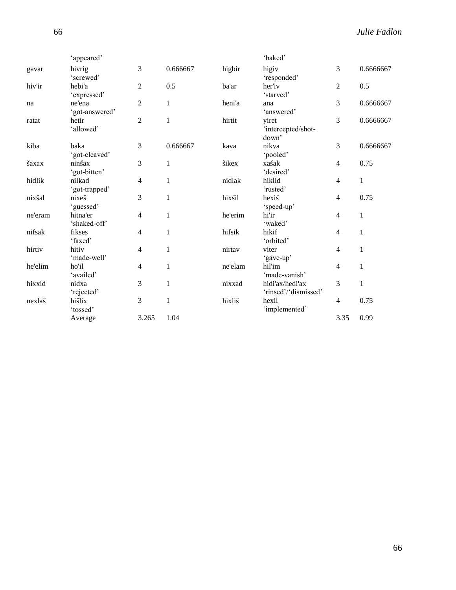|         | 'appeared'               |                |              |         | 'baked'                                 |                |              |
|---------|--------------------------|----------------|--------------|---------|-----------------------------------------|----------------|--------------|
| gavar   | hivrig<br>'screwed'      | 3              | 0.666667     | higbir  | higiv<br>'responded'                    | 3              | 0.6666667    |
| hiv'ir  | hebi'a<br>'expressed'    | $\overline{2}$ | 0.5          | ba'ar   | her'iv<br>'starved'                     | 2              | 0.5          |
| na      | ne'ena<br>'got-answered' | $\overline{2}$ | $\mathbf{1}$ | heni'a  | ana<br>'answered'                       | 3              | 0.6666667    |
| ratat   | hetir<br>'allowed'       | $\overline{2}$ | $\mathbf{1}$ | hirtit  | viret<br>'intercepted/shot-<br>down'    | 3              | 0.6666667    |
| kiba    | baka<br>'got-cleaved'    | 3              | 0.666667     | kava    | nikva<br>'pooled'                       | 3              | 0.6666667    |
| šaxax   | ninšax<br>'got-bitten'   | 3              | $\mathbf{1}$ | šikex   | xašak<br>'desired'                      | 4              | 0.75         |
| hidlik  | nilkad<br>'got-trapped'  | $\overline{4}$ | $\mathbf{1}$ | nidlak  | hiklid<br>'rusted'                      | 4              | $\mathbf{1}$ |
| nixšal  | nixeš<br>'guessed'       | 3              | $\,1$        | hixšil  | hexiš<br>'speed-up'                     | 4              | 0.75         |
| ne'eram | hitna'er<br>'shaked-off' | $\overline{4}$ | $\mathbf{1}$ | he'erim | hi'ir<br>'waked'                        | 4              | $\mathbf{1}$ |
| nifsak  | fikses<br>'faxed'        | $\overline{4}$ | $\mathbf{1}$ | hifsik  | hikif<br>'orbited'                      | 4              | $\mathbf{1}$ |
| hirtiv  | hitiv<br>'made-well'     | $\overline{4}$ | $\mathbf{1}$ | nirtav  | viter<br>'gave-up'                      | $\overline{4}$ | $\mathbf{1}$ |
| he'elim | ho'il<br>'availed'       | $\overline{4}$ | 1            | ne'elam | hil'im<br>'made-vanish'                 | 4              | $\mathbf{1}$ |
| hixxid  | nidxa<br>'rejected'      | 3              | $\mathbf{1}$ | nixxad  | hidi'ax/hedi'ax<br>'rinsed'/'dismissed' | 3              | $\mathbf{1}$ |
| nexlaš  | hišlix<br>'tossed'       | 3              | $\mathbf{1}$ | hixliš  | hexil<br>'implemented'                  | 4              | 0.75         |
|         | Average                  | 3.265          | 1.04         |         |                                         | 3.35           | 0.99         |
|         |                          |                |              |         |                                         |                |              |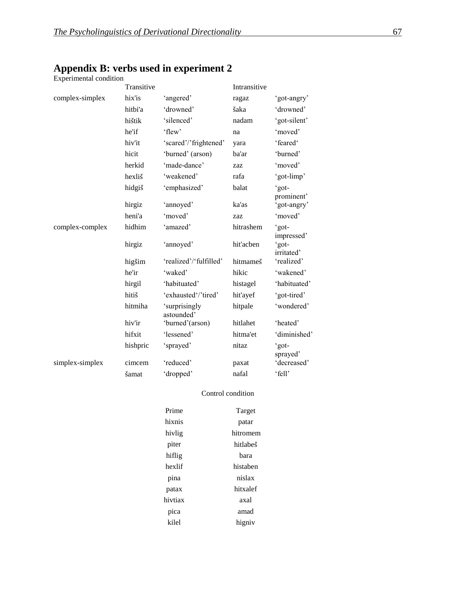### **Appendix B: verbs used in experiment 2**

Experimental condition

|                 | Transitive |                             | Intransitive |                           |
|-----------------|------------|-----------------------------|--------------|---------------------------|
| complex-simplex | hix'is     | 'angered'                   | ragaz        | 'got-angry'               |
|                 | hitbi'a    | 'drowned'                   | šaka         | 'drowned'                 |
|                 | hištik     | 'silenced'                  | nadam        | 'got-silent'              |
|                 | he'if      | 'flew'                      | na           | 'moved'                   |
|                 | hiv'it     | 'scared'/'frightened'       | yara         | 'feared'                  |
|                 | hicit      | 'burned' (arson)            | ba'ar        | 'burned'                  |
|                 | herkid     | 'made-dance'                | zaz          | 'moved'                   |
|                 | hexliš     | 'weakened'                  | rafa         | 'got-limp'                |
|                 | hidgiš     | 'emphasized'                | balat        | 'got-                     |
|                 | hirgiz     | 'annoyed'                   | ka'as        | prominent'<br>'got-angry' |
|                 | heni'a     | 'moved'                     | zaz          | 'moved'                   |
| complex-complex | hidhim     | 'amazed'                    | hitrashem    | 'got-<br>impressed'       |
|                 | hirgiz     | 'annoyed'                   | hit'acben    | 'got-<br>irritated'       |
|                 | higšim     | 'realized'/'fulfilled'      | hitmameš     | 'realized'                |
|                 | he'ir      | 'waked'                     | hikic        | 'wakened'                 |
|                 | hirgil     | 'habituated'                | histagel     | 'habituated'              |
|                 | hitiš      | 'exhausted'/'tired'         | hit'ayef     | 'got-tired'               |
|                 | hitmiha    | 'surprisingly<br>astounded' | hitpale      | 'wondered'                |
|                 | hiv'ir     | 'burned'(arson)             | hitlahet     | 'heated'                  |
|                 | hifxit     | 'lessened'                  | hitma'et     | 'diminished'              |
|                 | hishpric   | 'sprayed'                   | nitaz        | 'got-<br>sprayed'         |
| simplex-simplex | cimcem     | 'reduced'                   | paxat        | 'decreased'               |
|                 | šamat      | 'dropped'                   | nafal        | 'fell'                    |

#### Control condition

| Prime   | Target   |
|---------|----------|
| hixnis  | patar    |
| hivlig  | hitromem |
| piter   | hitlabeš |
| hiflig  | hara     |
| hexlif  | histaben |
| pina    | nislax   |
| patax   | hitxalef |
| hivtiax | axal     |
| pica    | amad     |
| kilel   | higniy   |
|         |          |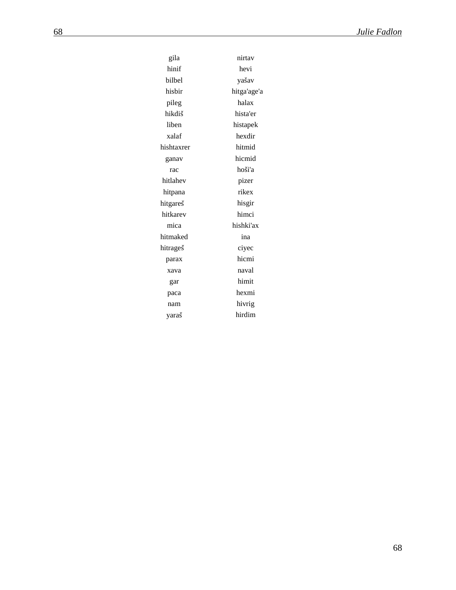| gila       | nirtav      |  |  |
|------------|-------------|--|--|
| hinif      | hevi        |  |  |
| bilbel     | yašav       |  |  |
| hisbir     | hitga'age'a |  |  |
| pileg      | halax       |  |  |
| hikdiš     | hista'er    |  |  |
| liben      | histapek    |  |  |
| xalaf      | hexdir      |  |  |
| hishtaxrer | hitmid      |  |  |
| ganav      | hicmid      |  |  |
| rac        | hoši'a      |  |  |
| hitlahev   | pizer       |  |  |
| hitpana    | rikex       |  |  |
| hitgareš   | hisgir      |  |  |
| hitkarev   | himci       |  |  |
| mica       | hishki'ax   |  |  |
| hitmaked   | ina         |  |  |
| hitrageš   | ciyec       |  |  |
| parax      | hicmi       |  |  |
| xava       | naval       |  |  |
| gar        | himit       |  |  |
| paca       | hexmi       |  |  |
| nam        | hivrig      |  |  |
| yaraš      | hirdim      |  |  |
|            |             |  |  |